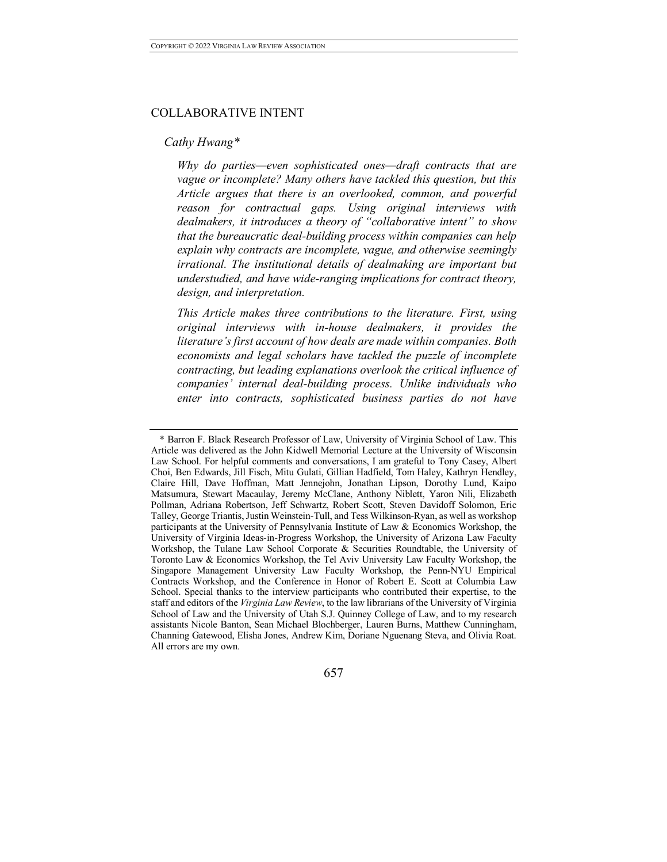#### COLLABORATIVE INTENT

### *Cathy Hwang\**

*Why do parties—even sophisticated ones—draft contracts that are vague or incomplete? Many others have tackled this question, but this Article argues that there is an overlooked, common, and powerful reason for contractual gaps. Using original interviews with dealmakers, it introduces a theory of "collaborative intent" to show that the bureaucratic deal-building process within companies can help explain why contracts are incomplete, vague, and otherwise seemingly irrational. The institutional details of dealmaking are important but understudied, and have wide-ranging implications for contract theory, design, and interpretation.* 

*This Article makes three contributions to the literature. First, using original interviews with in-house dealmakers, it provides the literature's first account of how deals are made within companies. Both economists and legal scholars have tackled the puzzle of incomplete contracting, but leading explanations overlook the critical influence of companies' internal deal-building process. Unlike individuals who enter into contracts, sophisticated business parties do not have* 

<sup>\*</sup> Barron F. Black Research Professor of Law, University of Virginia School of Law. This Article was delivered as the John Kidwell Memorial Lecture at the University of Wisconsin Law School. For helpful comments and conversations, I am grateful to Tony Casey, Albert Choi, Ben Edwards, Jill Fisch, Mitu Gulati, Gillian Hadfield, Tom Haley, Kathryn Hendley, Claire Hill, Dave Hoffman, Matt Jennejohn, Jonathan Lipson, Dorothy Lund, Kaipo Matsumura, Stewart Macaulay, Jeremy McClane, Anthony Niblett, Yaron Nili, Elizabeth Pollman, Adriana Robertson, Jeff Schwartz, Robert Scott, Steven Davidoff Solomon, Eric Talley, George Triantis, Justin Weinstein-Tull, and Tess Wilkinson-Ryan, as well as workshop participants at the University of Pennsylvania Institute of Law & Economics Workshop, the University of Virginia Ideas-in-Progress Workshop, the University of Arizona Law Faculty Workshop, the Tulane Law School Corporate & Securities Roundtable, the University of Toronto Law & Economics Workshop, the Tel Aviv University Law Faculty Workshop, the Singapore Management University Law Faculty Workshop, the Penn-NYU Empirical Contracts Workshop, and the Conference in Honor of Robert E. Scott at Columbia Law School. Special thanks to the interview participants who contributed their expertise, to the staff and editors of the *Virginia Law Review*, to the law librarians of the University of Virginia School of Law and the University of Utah S.J. Quinney College of Law, and to my research assistants Nicole Banton, Sean Michael Blochberger, Lauren Burns, Matthew Cunningham, Channing Gatewood, Elisha Jones, Andrew Kim, Doriane Nguenang Steva, and Olivia Roat. All errors are my own.

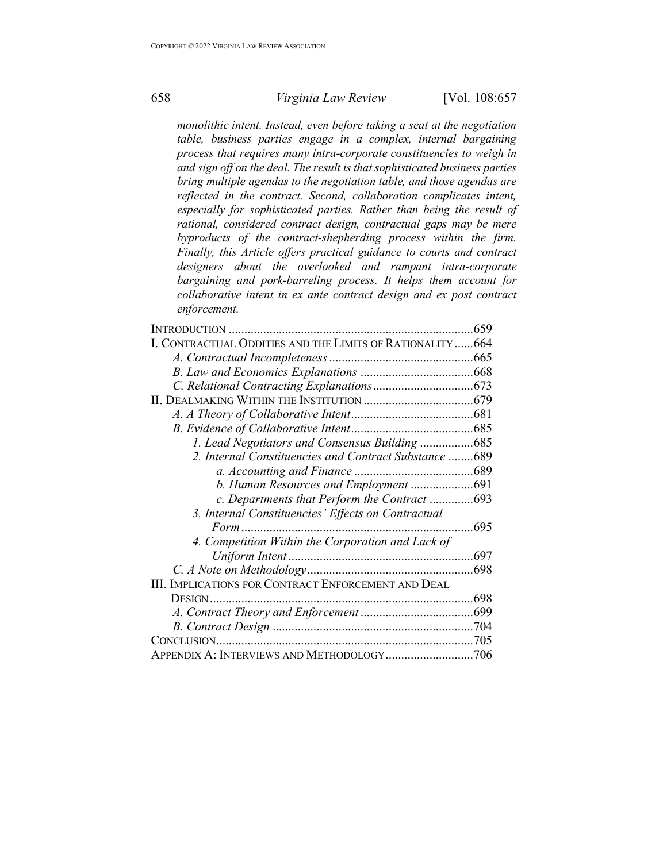*monolithic intent. Instead, even before taking a seat at the negotiation table, business parties engage in a complex, internal bargaining process that requires many intra-corporate constituencies to weigh in and sign off on the deal. The result is that sophisticated business parties bring multiple agendas to the negotiation table, and those agendas are reflected in the contract. Second, collaboration complicates intent, especially for sophisticated parties. Rather than being the result of rational, considered contract design, contractual gaps may be mere byproducts of the contract-shepherding process within the firm. Finally, this Article offers practical guidance to courts and contract designers about the overlooked and rampant intra-corporate bargaining and pork-barreling process. It helps them account for collaborative intent in ex ante contract design and ex post contract enforcement.*

|                                                            | .659 |
|------------------------------------------------------------|------|
| I. CONTRACTUAL ODDITIES AND THE LIMITS OF RATIONALITY 664  |      |
|                                                            |      |
|                                                            |      |
|                                                            |      |
|                                                            |      |
|                                                            |      |
|                                                            |      |
| 1. Lead Negotiators and Consensus Building 685             |      |
| 2. Internal Constituencies and Contract Substance 689      |      |
|                                                            |      |
| b. Human Resources and Employment 691                      |      |
|                                                            |      |
| 3. Internal Constituencies' Effects on Contractual         |      |
|                                                            | .695 |
| 4. Competition Within the Corporation and Lack of          |      |
|                                                            | .697 |
|                                                            | .698 |
| <b>III. IMPLICATIONS FOR CONTRACT ENFORCEMENT AND DEAL</b> |      |
| DESIGN                                                     | .698 |
|                                                            |      |
|                                                            |      |
| CONCLUSION.                                                | .705 |
| APPENDIX A: INTERVIEWS AND METHODOLOGY                     | .706 |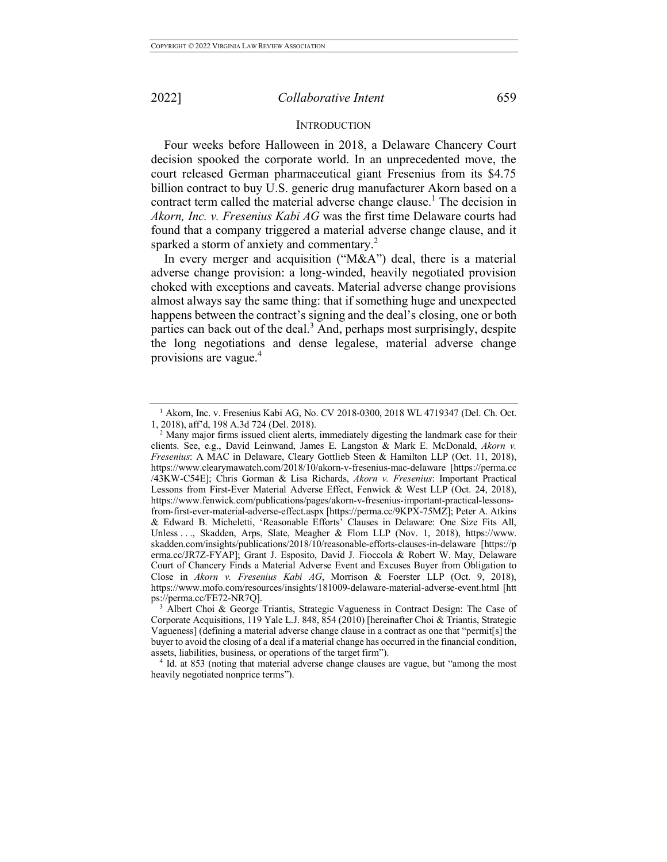### **INTRODUCTION**

Four weeks before Halloween in 2018, a Delaware Chancery Court decision spooked the corporate world. In an unprecedented move, the court released German pharmaceutical giant Fresenius from its \$4.75 billion contract to buy U.S. generic drug manufacturer Akorn based on a contract term called the material adverse change clause.<sup>1</sup> The decision in *Akorn, Inc. v. Fresenius Kabi AG* was the first time Delaware courts had found that a company triggered a material adverse change clause, and it sparked a storm of anxiety and commentary.<sup>2</sup>

In every merger and acquisition ("M&A") deal, there is a material adverse change provision: a long-winded, heavily negotiated provision choked with exceptions and caveats. Material adverse change provisions almost always say the same thing: that if something huge and unexpected happens between the contract's signing and the deal's closing, one or both parties can back out of the deal.<sup>3</sup> And, perhaps most surprisingly, despite the long negotiations and dense legalese, material adverse change provisions are vague.<sup>4</sup>

<sup>&</sup>lt;sup>1</sup> Akorn, Inc. v. Fresenius Kabi AG, No. CV 2018-0300, 2018 WL 4719347 (Del. Ch. Oct. 1, 2018), aff'd, 198 A.3d 724 (Del. 2018).

<sup>2</sup> Many major firms issued client alerts, immediately digesting the landmark case for their clients. See, e.g., David Leinwand, James E. Langston & Mark E. McDonald, *Akorn v. Fresenius*: A MAC in Delaware, Cleary Gottlieb Steen & Hamilton LLP (Oct. 11, 2018), https://www.clearymawatch.com/2018/10/akorn-v-fresenius-mac-delaware [https://perma.cc /43KW-C54E]; Chris Gorman & Lisa Richards, *Akorn v. Fresenius*: Important Practical Lessons from First-Ever Material Adverse Effect, Fenwick & West LLP (Oct. 24, 2018), https://www.fenwick.com/publications/pages/akorn-v-fresenius-important-practical-lessonsfrom-first-ever-material-adverse-effect.aspx [https://perma.cc/9KPX-75MZ]; Peter A. Atkins & Edward B. Micheletti, 'Reasonable Efforts' Clauses in Delaware: One Size Fits All, Unless . . ., Skadden, Arps, Slate, Meagher & Flom LLP (Nov. 1, 2018), https://www. skadden.com/insights/publications/2018/10/reasonable-efforts-clauses-in-delaware [https://p erma.cc/JR7Z-FYAP]; Grant J. Esposito, David J. Fioccola & Robert W. May, Delaware Court of Chancery Finds a Material Adverse Event and Excuses Buyer from Obligation to Close in *Akorn v. Fresenius Kabi AG*, Morrison & Foerster LLP (Oct. 9, 2018), https://www.mofo.com/resources/insights/181009-delaware-material-adverse-event.html [htt

 $\frac{3}{3}$  Albert Choi & George Triantis, Strategic Vagueness in Contract Design: The Case of Corporate Acquisitions, 119 Yale L.J. 848, 854 (2010) [hereinafter Choi & Triantis, Strategic Vagueness] (defining a material adverse change clause in a contract as one that "permit[s] the buyer to avoid the closing of a deal if a material change has occurred in the financial condition, assets, liabilities, business, or operations of the target firm"). 4 Id. at 853 (noting that material adverse change clauses are vague, but "among the most

heavily negotiated nonprice terms").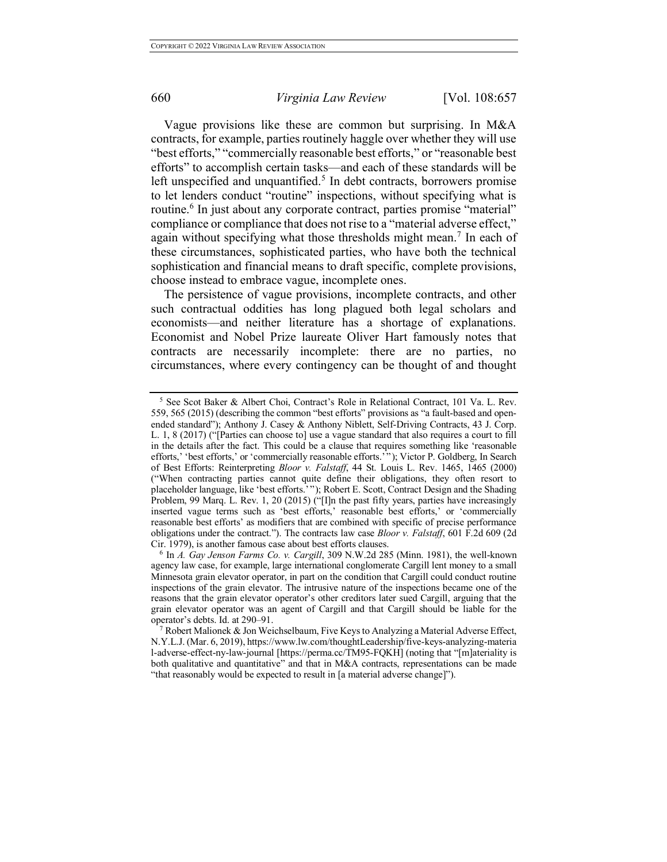Vague provisions like these are common but surprising. In M&A contracts, for example, parties routinely haggle over whether they will use "best efforts," "commercially reasonable best efforts," or "reasonable best efforts" to accomplish certain tasks—and each of these standards will be left unspecified and unquantified.<sup>5</sup> In debt contracts, borrowers promise to let lenders conduct "routine" inspections, without specifying what is routine.<sup>6</sup> In just about any corporate contract, parties promise "material" compliance or compliance that does not rise to a "material adverse effect," again without specifying what those thresholds might mean.<sup>7</sup> In each of these circumstances, sophisticated parties, who have both the technical sophistication and financial means to draft specific, complete provisions, choose instead to embrace vague, incomplete ones.

The persistence of vague provisions, incomplete contracts, and other such contractual oddities has long plagued both legal scholars and economists—and neither literature has a shortage of explanations. Economist and Nobel Prize laureate Oliver Hart famously notes that contracts are necessarily incomplete: there are no parties, no circumstances, where every contingency can be thought of and thought

<sup>5</sup> See Scot Baker & Albert Choi, Contract's Role in Relational Contract, 101 Va. L. Rev. 559, 565 (2015) (describing the common "best efforts" provisions as "a fault-based and openended standard"); Anthony J. Casey & Anthony Niblett, Self-Driving Contracts, 43 J. Corp. L. 1, 8 (2017) ("[Parties can choose to] use a vague standard that also requires a court to fill in the details after the fact. This could be a clause that requires something like 'reasonable efforts,' 'best efforts,' or 'commercially reasonable efforts.'"); Victor P. Goldberg, In Search of Best Efforts: Reinterpreting *Bloor v. Falstaff*, 44 St. Louis L. Rev. 1465, 1465 (2000) ("When contracting parties cannot quite define their obligations, they often resort to placeholder language, like 'best efforts.'"); Robert E. Scott, Contract Design and the Shading Problem, 99 Marq. L. Rev. 1, 20 (2015) ("[I]n the past fifty years, parties have increasingly inserted vague terms such as 'best efforts,' reasonable best efforts,' or 'commercially reasonable best efforts' as modifiers that are combined with specific of precise performance obligations under the contract."). The contracts law case *Bloor v. Falstaff*, 601 F.2d 609 (2d Cir. 1979), is another famous case about best efforts clauses.

<sup>6</sup> In *A. Gay Jenson Farms Co. v. Cargill*, 309 N.W.2d 285 (Minn. 1981), the well-known agency law case, for example, large international conglomerate Cargill lent money to a small Minnesota grain elevator operator, in part on the condition that Cargill could conduct routine inspections of the grain elevator. The intrusive nature of the inspections became one of the reasons that the grain elevator operator's other creditors later sued Cargill, arguing that the grain elevator operator was an agent of Cargill and that Cargill should be liable for the operator's debts. Id. at 290–91.<br><sup>7</sup> Robert Malionek & Jon Weichselbaum, Five Keys to Analyzing a Material Adverse Effect,

N.Y.L.J. (Mar. 6, 2019), https://www.lw.com/thoughtLeadership/five-keys-analyzing-materia l-adverse-effect-ny-law-journal [https://perma.cc/TM95-FQKH] (noting that "[m]ateriality is both qualitative and quantitative" and that in M&A contracts, representations can be made "that reasonably would be expected to result in [a material adverse change]").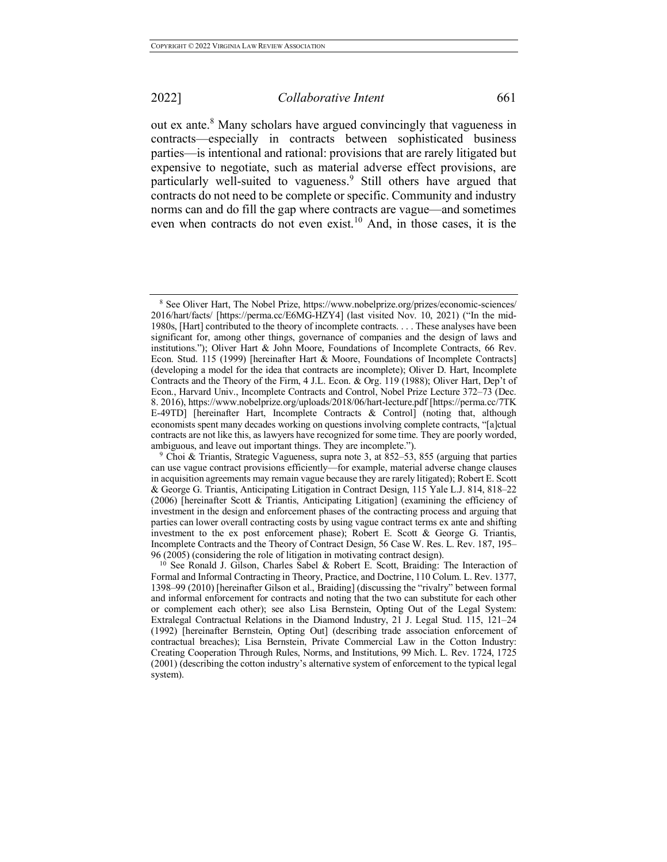out ex ante.<sup>8</sup> Many scholars have argued convincingly that vagueness in contracts—especially in contracts between sophisticated business parties—is intentional and rational: provisions that are rarely litigated but expensive to negotiate, such as material adverse effect provisions, are particularly well-suited to vagueness.<sup>9</sup> Still others have argued that contracts do not need to be complete or specific. Community and industry norms can and do fill the gap where contracts are vague—and sometimes even when contracts do not even exist.<sup>10</sup> And, in those cases, it is the

<sup>8</sup> See Oliver Hart, The Nobel Prize, https://www.nobelprize.org/prizes/economic-sciences/ 2016/hart/facts/ [https://perma.cc/E6MG-HZY4] (last visited Nov. 10, 2021) ("In the mid-1980s, [Hart] contributed to the theory of incomplete contracts. . . . These analyses have been significant for, among other things, governance of companies and the design of laws and institutions."); Oliver Hart & John Moore, Foundations of Incomplete Contracts, 66 Rev. Econ. Stud. 115 (1999) [hereinafter Hart & Moore, Foundations of Incomplete Contracts] (developing a model for the idea that contracts are incomplete); Oliver D. Hart, Incomplete Contracts and the Theory of the Firm, 4 J.L. Econ. & Org. 119 (1988); Oliver Hart, Dep't of Econ., Harvard Univ., Incomplete Contracts and Control, Nobel Prize Lecture 372–73 (Dec. 8. 2016), https://www.nobelprize.org/uploads/2018/06/hart-lecture.pdf [https://perma.cc/7TK E-49TD] [hereinafter Hart, Incomplete Contracts & Control] (noting that, although economists spent many decades working on questions involving complete contracts, "[a]ctual contracts are not like this, as lawyers have recognized for some time. They are poorly worded, ambiguous, and leave out important things. They are incomplete.").

<sup>9</sup> Choi & Triantis, Strategic Vagueness, supra note 3, at 852–53, 855 (arguing that parties can use vague contract provisions efficiently—for example, material adverse change clauses in acquisition agreements may remain vague because they are rarely litigated); Robert E. Scott & George G. Triantis, Anticipating Litigation in Contract Design, 115 Yale L.J. 814, 818–22 (2006) [hereinafter Scott & Triantis, Anticipating Litigation] (examining the efficiency of investment in the design and enforcement phases of the contracting process and arguing that parties can lower overall contracting costs by using vague contract terms ex ante and shifting investment to the ex post enforcement phase); Robert E. Scott & George G. Triantis, Incomplete Contracts and the Theory of Contract Design, 56 Case W. Res. L. Rev. 187, 195– 96 (2005) (considering the role of litigation in motivating contract design).

<sup>10</sup> See Ronald J. Gilson, Charles Sabel & Robert E. Scott, Braiding: The Interaction of Formal and Informal Contracting in Theory, Practice, and Doctrine, 110 Colum. L. Rev. 1377, 1398–99 (2010) [hereinafter Gilson et al., Braiding] (discussing the "rivalry" between formal and informal enforcement for contracts and noting that the two can substitute for each other or complement each other); see also Lisa Bernstein, Opting Out of the Legal System: Extralegal Contractual Relations in the Diamond Industry, 21 J. Legal Stud. 115, 121–24 (1992) [hereinafter Bernstein, Opting Out] (describing trade association enforcement of contractual breaches); Lisa Bernstein, Private Commercial Law in the Cotton Industry: Creating Cooperation Through Rules, Norms, and Institutions, 99 Mich. L. Rev. 1724, 1725 (2001) (describing the cotton industry's alternative system of enforcement to the typical legal system).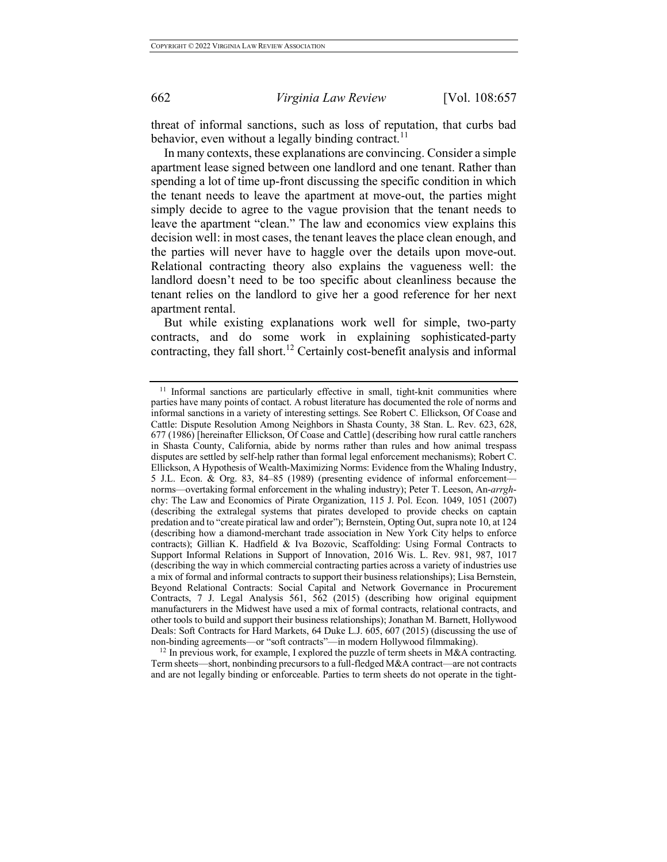threat of informal sanctions, such as loss of reputation, that curbs bad behavior, even without a legally binding contract.<sup>11</sup>

In many contexts, these explanations are convincing. Consider a simple apartment lease signed between one landlord and one tenant. Rather than spending a lot of time up-front discussing the specific condition in which the tenant needs to leave the apartment at move-out, the parties might simply decide to agree to the vague provision that the tenant needs to leave the apartment "clean." The law and economics view explains this decision well: in most cases, the tenant leaves the place clean enough, and the parties will never have to haggle over the details upon move-out. Relational contracting theory also explains the vagueness well: the landlord doesn't need to be too specific about cleanliness because the tenant relies on the landlord to give her a good reference for her next apartment rental.

But while existing explanations work well for simple, two-party contracts, and do some work in explaining sophisticated-party contracting, they fall short. <sup>12</sup> Certainly cost-benefit analysis and informal

<sup>12</sup> In previous work, for example, I explored the puzzle of term sheets in M&A contracting. Term sheets—short, nonbinding precursors to a full-fledged M&A contract—are not contracts and are not legally binding or enforceable. Parties to term sheets do not operate in the tight-

 $11$  Informal sanctions are particularly effective in small, tight-knit communities where parties have many points of contact. A robust literature has documented the role of norms and informal sanctions in a variety of interesting settings. See Robert C. Ellickson, Of Coase and Cattle: Dispute Resolution Among Neighbors in Shasta County, 38 Stan. L. Rev. 623, 628, 677 (1986) [hereinafter Ellickson, Of Coase and Cattle] (describing how rural cattle ranchers in Shasta County, California, abide by norms rather than rules and how animal trespass disputes are settled by self-help rather than formal legal enforcement mechanisms); Robert C. Ellickson, A Hypothesis of Wealth-Maximizing Norms: Evidence from the Whaling Industry, 5 J.L. Econ. & Org. 83, 84–85 (1989) (presenting evidence of informal enforcement norms—overtaking formal enforcement in the whaling industry); Peter T. Leeson, An-*arrgh*chy: The Law and Economics of Pirate Organization, 115 J. Pol. Econ. 1049, 1051 (2007) (describing the extralegal systems that pirates developed to provide checks on captain predation and to "create piratical law and order"); Bernstein, Opting Out, supra note 10, at 124 (describing how a diamond-merchant trade association in New York City helps to enforce contracts); Gillian K. Hadfield & Iva Bozovic, Scaffolding: Using Formal Contracts to Support Informal Relations in Support of Innovation, 2016 Wis. L. Rev. 981, 987, 1017 (describing the way in which commercial contracting parties across a variety of industries use a mix of formal and informal contracts to support their business relationships); Lisa Bernstein, Beyond Relational Contracts: Social Capital and Network Governance in Procurement Contracts, 7 J. Legal Analysis 561, 562 (2015) (describing how original equipment manufacturers in the Midwest have used a mix of formal contracts, relational contracts, and other tools to build and support their business relationships); Jonathan M. Barnett, Hollywood Deals: Soft Contracts for Hard Markets, 64 Duke L.J. 605, 607 (2015) (discussing the use of non-binding agreements—or "soft contracts"—in modern Hollywood filmmaking).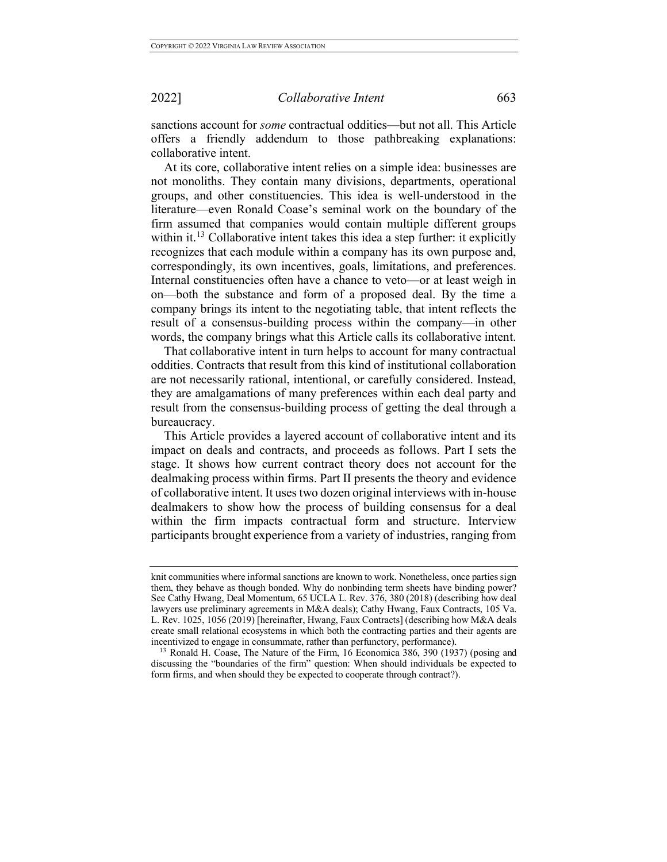sanctions account for *some* contractual oddities—but not all. This Article offers a friendly addendum to those pathbreaking explanations: collaborative intent.

At its core, collaborative intent relies on a simple idea: businesses are not monoliths. They contain many divisions, departments, operational groups, and other constituencies. This idea is well-understood in the literature—even Ronald Coase's seminal work on the boundary of the firm assumed that companies would contain multiple different groups within it.<sup>13</sup> Collaborative intent takes this idea a step further: it explicitly recognizes that each module within a company has its own purpose and, correspondingly, its own incentives, goals, limitations, and preferences. Internal constituencies often have a chance to veto—or at least weigh in on—both the substance and form of a proposed deal. By the time a company brings its intent to the negotiating table, that intent reflects the result of a consensus-building process within the company—in other words, the company brings what this Article calls its collaborative intent.

That collaborative intent in turn helps to account for many contractual oddities. Contracts that result from this kind of institutional collaboration are not necessarily rational, intentional, or carefully considered. Instead, they are amalgamations of many preferences within each deal party and result from the consensus-building process of getting the deal through a bureaucracy.

This Article provides a layered account of collaborative intent and its impact on deals and contracts, and proceeds as follows. Part I sets the stage. It shows how current contract theory does not account for the dealmaking process within firms. Part II presents the theory and evidence of collaborative intent. It uses two dozen original interviews with in-house dealmakers to show how the process of building consensus for a deal within the firm impacts contractual form and structure. Interview participants brought experience from a variety of industries, ranging from

knit communities where informal sanctions are known to work. Nonetheless, once parties sign them, they behave as though bonded. Why do nonbinding term sheets have binding power? See Cathy Hwang, Deal Momentum, 65 UCLA L. Rev. 376, 380 (2018) (describing how deal lawyers use preliminary agreements in M&A deals); Cathy Hwang, Faux Contracts, 105 Va. L. Rev. 1025, 1056 (2019) [hereinafter, Hwang, Faux Contracts] (describing how M&A deals create small relational ecosystems in which both the contracting parties and their agents are incentivized to engage in consummate, rather than perfunctory, performance).

<sup>&</sup>lt;sup>13</sup> Ronald H. Coase, The Nature of the Firm, 16 Economica 386, 390 (1937) (posing and discussing the "boundaries of the firm" question: When should individuals be expected to form firms, and when should they be expected to cooperate through contract?).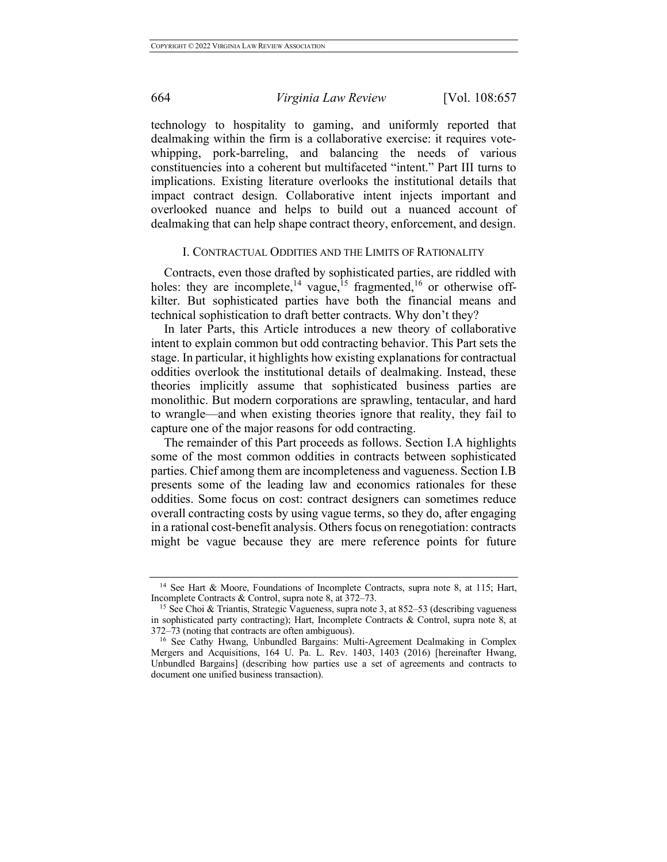technology to hospitality to gaming, and uniformly reported that dealmaking within the firm is a collaborative exercise: it requires votewhipping, pork-barreling, and balancing the needs of various constituencies into a coherent but multifaceted "intent." Part III turns to implications. Existing literature overlooks the institutional details that impact contract design. Collaborative intent injects important and overlooked nuance and helps to build out a nuanced account of dealmaking that can help shape contract theory, enforcement, and design.

#### I. CONTRACTUAL ODDITIES AND THE LIMITS OF RATIONALITY

Contracts, even those drafted by sophisticated parties, are riddled with holes: they are incomplete,<sup>14</sup> vague,<sup>15</sup> fragmented,<sup>16</sup> or otherwise offkilter. But sophisticated parties have both the financial means and technical sophistication to draft better contracts. Why don't they?

In later Parts, this Article introduces a new theory of collaborative intent to explain common but odd contracting behavior. This Part sets the stage. In particular, it highlights how existing explanations for contractual oddities overlook the institutional details of dealmaking. Instead, these theories implicitly assume that sophisticated business parties are monolithic. But modern corporations are sprawling, tentacular, and hard to wrangle—and when existing theories ignore that reality, they fail to capture one of the major reasons for odd contracting.

The remainder of this Part proceeds as follows. Section I.A highlights some of the most common oddities in contracts between sophisticated parties. Chief among them are incompleteness and vagueness. Section I.B presents some of the leading law and economics rationales for these oddities. Some focus on cost: contract designers can sometimes reduce overall contracting costs by using vague terms, so they do, after engaging in a rational cost-benefit analysis. Others focus on renegotiation: contracts might be vague because they are mere reference points for future

<sup>&</sup>lt;sup>14</sup> See Hart & Moore, Foundations of Incomplete Contracts, supra note 8, at 115; Hart, Incomplete Contracts & Control, supra note 8, at 372–73.

<sup>&</sup>lt;sup>15</sup> See Choi & Triantis, Strategic Vagueness, supra note 3, at 852–53 (describing vagueness in sophisticated party contracting); Hart, Incomplete Contracts  $\&$  Control, supra note 8, at 372–73 (noting that contracts are often ambiguous).

<sup>&</sup>lt;sup>16</sup> See Cathy Hwang, Unbundled Bargains: Multi-Agreement Dealmaking in Complex Mergers and Acquisitions, 164 U. Pa. L. Rev. 1403, 1403 (2016) [hereinafter Hwang, Unbundled Bargains] (describing how parties use a set of agreements and contracts to document one unified business transaction).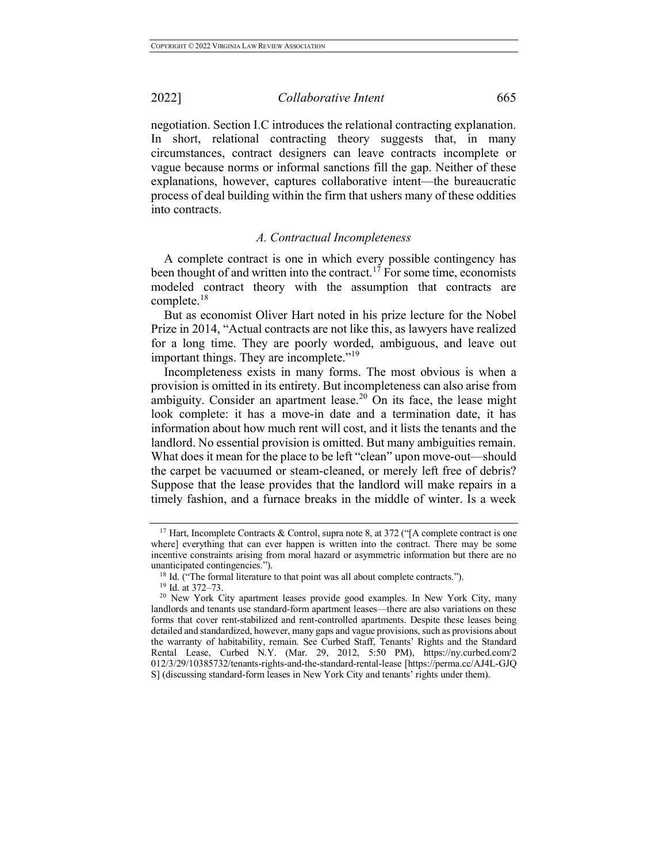negotiation. Section I.C introduces the relational contracting explanation. In short, relational contracting theory suggests that, in many circumstances, contract designers can leave contracts incomplete or vague because norms or informal sanctions fill the gap. Neither of these explanations, however, captures collaborative intent—the bureaucratic process of deal building within the firm that ushers many of these oddities into contracts.

#### *A. Contractual Incompleteness*

A complete contract is one in which every possible contingency has been thought of and written into the contract.<sup>17</sup> For some time, economists modeled contract theory with the assumption that contracts are complete. $18$ 

But as economist Oliver Hart noted in his prize lecture for the Nobel Prize in 2014, "Actual contracts are not like this, as lawyers have realized for a long time. They are poorly worded, ambiguous, and leave out important things. They are incomplete."<sup>19</sup>

Incompleteness exists in many forms. The most obvious is when a provision is omitted in its entirety. But incompleteness can also arise from ambiguity. Consider an apartment lease.<sup>20</sup> On its face, the lease might look complete: it has a move-in date and a termination date, it has information about how much rent will cost, and it lists the tenants and the landlord. No essential provision is omitted. But many ambiguities remain. What does it mean for the place to be left "clean" upon move-out—should the carpet be vacuumed or steam-cleaned, or merely left free of debris? Suppose that the lease provides that the landlord will make repairs in a timely fashion, and a furnace breaks in the middle of winter. Is a week

<sup>&</sup>lt;sup>17</sup> Hart, Incomplete Contracts & Control, supra note 8, at  $372$  ("[A complete contract is one where] everything that can ever happen is written into the contract. There may be some incentive constraints arising from moral hazard or asymmetric information but there are no unanticipated contingencies.").

<sup>&</sup>lt;sup>18</sup> Id. ("The formal literature to that point was all about complete contracts.").

<sup>19</sup> Id. at 372–73.

<sup>&</sup>lt;sup>20</sup> New York City apartment leases provide good examples. In New York City, many landlords and tenants use standard-form apartment leases—there are also variations on these forms that cover rent-stabilized and rent-controlled apartments. Despite these leases being detailed and standardized, however, many gaps and vague provisions, such as provisions about the warranty of habitability, remain. See Curbed Staff, Tenants' Rights and the Standard Rental Lease, Curbed N.Y. (Mar. 29, 2012, 5:50 PM), https://ny.curbed.com/2 012/3/29/10385732/tenants-rights-and-the-standard-rental-lease [https://perma.cc/AJ4L-GJQ S] (discussing standard-form leases in New York City and tenants' rights under them).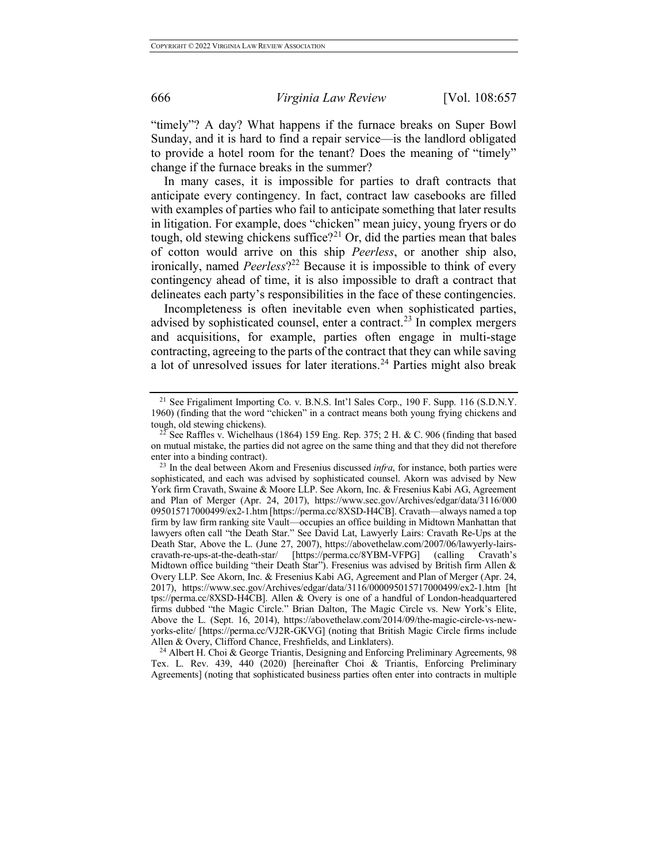"timely"? A day? What happens if the furnace breaks on Super Bowl Sunday, and it is hard to find a repair service—is the landlord obligated to provide a hotel room for the tenant? Does the meaning of "timely" change if the furnace breaks in the summer?

In many cases, it is impossible for parties to draft contracts that anticipate every contingency. In fact, contract law casebooks are filled with examples of parties who fail to anticipate something that later results in litigation. For example, does "chicken" mean juicy, young fryers or do tough, old stewing chickens suffice?<sup>21</sup> Or, did the parties mean that bales of cotton would arrive on this ship *Peerless*, or another ship also, ironically, named *Peerless*?<sup>22</sup> Because it is impossible to think of every contingency ahead of time, it is also impossible to draft a contract that delineates each party's responsibilities in the face of these contingencies.

Incompleteness is often inevitable even when sophisticated parties, advised by sophisticated counsel, enter a contract.<sup>23</sup> In complex mergers and acquisitions, for example, parties often engage in multi-stage contracting, agreeing to the parts of the contract that they can while saving a lot of unresolved issues for later iterations.<sup>24</sup> Parties might also break

<sup>24</sup> Albert H. Choi & George Triantis, Designing and Enforcing Preliminary Agreements, 98 Tex. L. Rev. 439, 440 (2020) [hereinafter Choi & Triantis, Enforcing Preliminary Agreements] (noting that sophisticated business parties often enter into contracts in multiple

<sup>21</sup> See Frigaliment Importing Co. v. B.N.S. Int'l Sales Corp., 190 F. Supp. 116 (S.D.N.Y. 1960) (finding that the word "chicken" in a contract means both young frying chickens and tough, old stewing chickens).

<sup>&</sup>lt;sup>22</sup> See Raffles v. Wichelhaus (1864) 159 Eng. Rep. 375; 2 H. & C. 906 (finding that based on mutual mistake, the parties did not agree on the same thing and that they did not therefore enter into a binding contract).

<sup>23</sup> In the deal between Akorn and Fresenius discussed *infra*, for instance, both parties were sophisticated, and each was advised by sophisticated counsel. Akorn was advised by New York firm Cravath, Swaine & Moore LLP. See Akorn, Inc. & Fresenius Kabi AG, Agreement and Plan of Merger (Apr. 24, 2017), https://www.sec.gov/Archives/edgar/data/3116/000 095015717000499/ex2-1.htm [https://perma.cc/8XSD-H4CB]. Cravath—always named a top firm by law firm ranking site Vault—occupies an office building in Midtown Manhattan that lawyers often call "the Death Star." See David Lat, Lawyerly Lairs: Cravath Re-Ups at the Death Star, Above the L. (June 27, 2007), https://abovethelaw.com/2007/06/lawyerly-lairscravath-re-ups-at-the-death-star/ [https://perma.cc/8YBM-VFPG] (calling Cravath's Midtown office building "their Death Star"). Fresenius was advised by British firm Allen & Overy LLP. See Akorn, Inc. & Fresenius Kabi AG, Agreement and Plan of Merger (Apr. 24, 2017), https://www.sec.gov/Archives/edgar/data/3116/000095015717000499/ex2-1.htm [ht tps://perma.cc/8XSD-H4CB]. Allen & Overy is one of a handful of London-headquartered firms dubbed "the Magic Circle." Brian Dalton, The Magic Circle vs. New York's Elite, Above the L. (Sept. 16, 2014), https://abovethelaw.com/2014/09/the-magic-circle-vs-newyorks-elite/ [https://perma.cc/VJ2R-GKVG] (noting that British Magic Circle firms include Allen & Overy, Clifford Chance, Freshfields, and Linklaters).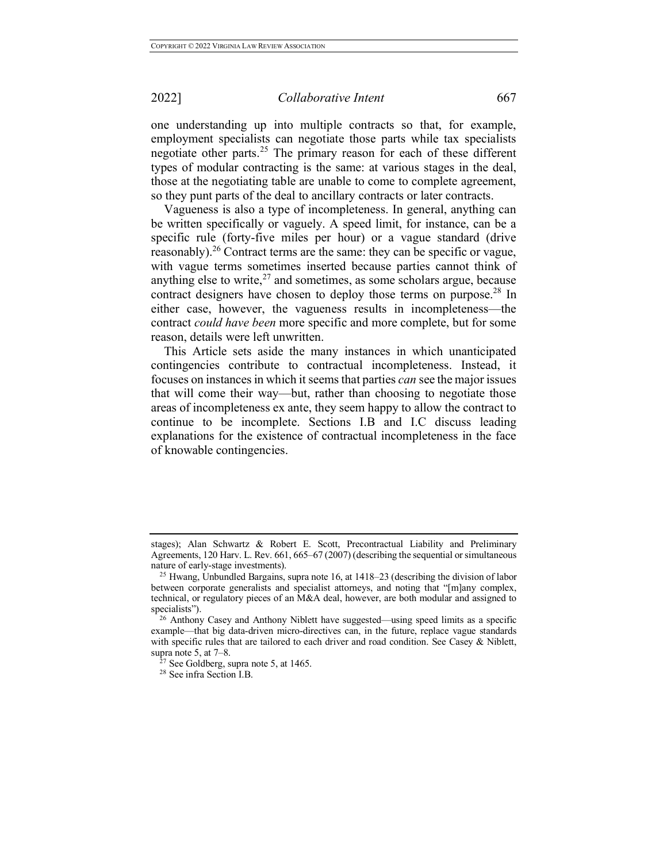one understanding up into multiple contracts so that, for example, employment specialists can negotiate those parts while tax specialists negotiate other parts.<sup>25</sup> The primary reason for each of these different types of modular contracting is the same: at various stages in the deal, those at the negotiating table are unable to come to complete agreement, so they punt parts of the deal to ancillary contracts or later contracts.

Vagueness is also a type of incompleteness. In general, anything can be written specifically or vaguely. A speed limit, for instance, can be a specific rule (forty-five miles per hour) or a vague standard (drive reasonably).<sup>26</sup> Contract terms are the same: they can be specific or vague, with vague terms sometimes inserted because parties cannot think of anything else to write,  $27$  and sometimes, as some scholars argue, because contract designers have chosen to deploy those terms on purpose.<sup>28</sup> In either case, however, the vagueness results in incompleteness—the contract *could have been* more specific and more complete, but for some reason, details were left unwritten.

This Article sets aside the many instances in which unanticipated contingencies contribute to contractual incompleteness. Instead, it focuses on instances in which it seems that parties *can* see the major issues that will come their way—but, rather than choosing to negotiate those areas of incompleteness ex ante, they seem happy to allow the contract to continue to be incomplete. Sections I.B and I.C discuss leading explanations for the existence of contractual incompleteness in the face of knowable contingencies.

stages); Alan Schwartz & Robert E. Scott, Precontractual Liability and Preliminary Agreements, 120 Harv. L. Rev. 661, 665–67 (2007) (describing the sequential or simultaneous nature of early-stage investments).

<sup>25</sup> Hwang, Unbundled Bargains, supra note 16, at 1418–23 (describing the division of labor between corporate generalists and specialist attorneys, and noting that "[m]any complex, technical, or regulatory pieces of an M&A deal, however, are both modular and assigned to specialists").

<sup>&</sup>lt;sup>26</sup> Anthony Casey and Anthony Niblett have suggested—using speed limits as a specific example—that big data-driven micro-directives can, in the future, replace vague standards with specific rules that are tailored to each driver and road condition. See Casey & Niblett, supra note 5, at  $7-8$ .

 $\frac{27}{28}$  See Goldberg, supra note 5, at 1465. 28 See infra Section I.B.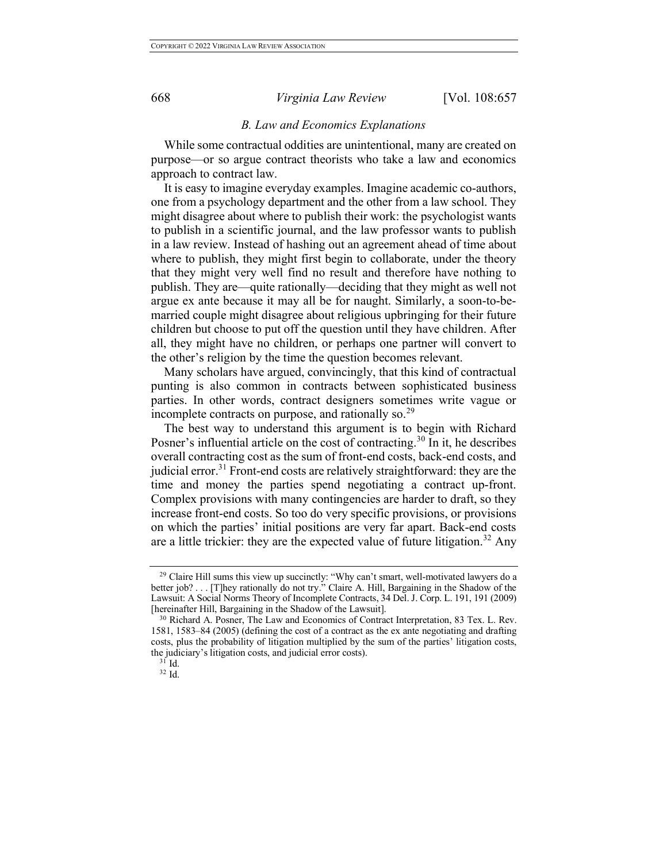### *B. Law and Economics Explanations*

While some contractual oddities are unintentional, many are created on purpose—or so argue contract theorists who take a law and economics approach to contract law.

It is easy to imagine everyday examples. Imagine academic co-authors, one from a psychology department and the other from a law school. They might disagree about where to publish their work: the psychologist wants to publish in a scientific journal, and the law professor wants to publish in a law review. Instead of hashing out an agreement ahead of time about where to publish, they might first begin to collaborate, under the theory that they might very well find no result and therefore have nothing to publish. They are—quite rationally—deciding that they might as well not argue ex ante because it may all be for naught. Similarly, a soon-to-bemarried couple might disagree about religious upbringing for their future children but choose to put off the question until they have children. After all, they might have no children, or perhaps one partner will convert to the other's religion by the time the question becomes relevant.

Many scholars have argued, convincingly, that this kind of contractual punting is also common in contracts between sophisticated business parties. In other words, contract designers sometimes write vague or incomplete contracts on purpose, and rationally so.<sup>29</sup>

The best way to understand this argument is to begin with Richard Posner's influential article on the cost of contracting.<sup>30</sup> In it, he describes overall contracting cost as the sum of front-end costs, back-end costs, and judicial error.<sup>31</sup> Front-end costs are relatively straightforward: they are the time and money the parties spend negotiating a contract up-front. Complex provisions with many contingencies are harder to draft, so they increase front-end costs. So too do very specific provisions, or provisions on which the parties' initial positions are very far apart. Back-end costs are a little trickier: they are the expected value of future litigation.<sup>32</sup> Any

<sup>&</sup>lt;sup>29</sup> Claire Hill sums this view up succinctly: "Why can't smart, well-motivated lawyers do a better job? . . . [T]hey rationally do not try." Claire A. Hill, Bargaining in the Shadow of the Lawsuit: A Social Norms Theory of Incomplete Contracts, 34 Del. J. Corp. L. 191, 191 (2009) [hereinafter Hill, Bargaining in the Shadow of the Lawsuit].

<sup>&</sup>lt;sup>30</sup> Richard A. Posner, The Law and Economics of Contract Interpretation, 83 Tex. L. Rev. 1581, 1583–84 (2005) (defining the cost of a contract as the ex ante negotiating and drafting costs, plus the probability of litigation multiplied by the sum of the parties' litigation costs, the judiciary's litigation costs, and judicial error costs).

 $31$  Id.  $32 \overline{Id}$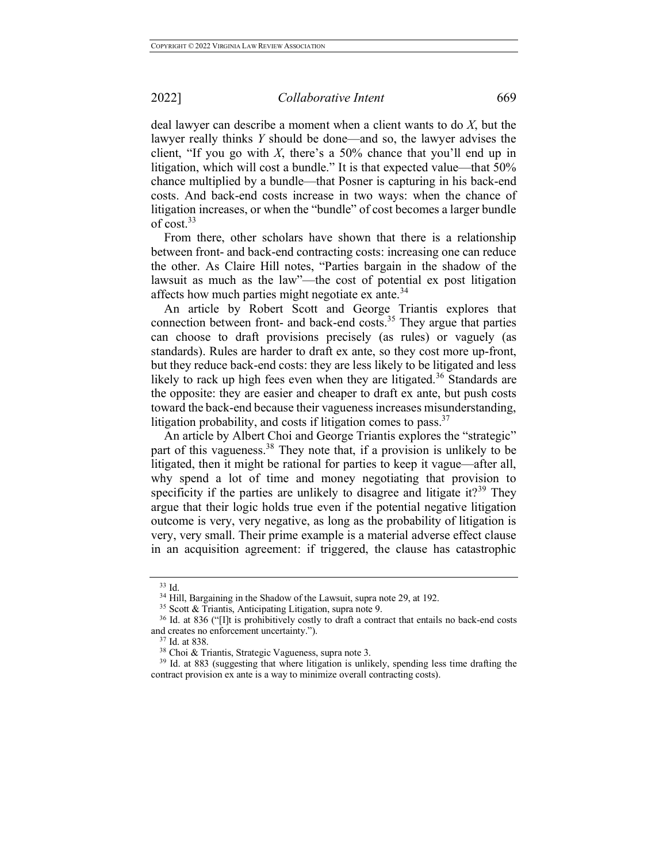deal lawyer can describe a moment when a client wants to do *X*, but the lawyer really thinks *Y* should be done—and so, the lawyer advises the client, "If you go with *X*, there's a 50% chance that you'll end up in litigation, which will cost a bundle." It is that expected value—that 50% chance multiplied by a bundle—that Posner is capturing in his back-end costs. And back-end costs increase in two ways: when the chance of litigation increases, or when the "bundle" of cost becomes a larger bundle of  $cost.^{33}$ 

From there, other scholars have shown that there is a relationship between front- and back-end contracting costs: increasing one can reduce the other. As Claire Hill notes, "Parties bargain in the shadow of the lawsuit as much as the law"—the cost of potential ex post litigation affects how much parties might negotiate ex ante.<sup>34</sup>

An article by Robert Scott and George Triantis explores that connection between front- and back-end costs.<sup>35</sup> They argue that parties can choose to draft provisions precisely (as rules) or vaguely (as standards). Rules are harder to draft ex ante, so they cost more up-front, but they reduce back-end costs: they are less likely to be litigated and less likely to rack up high fees even when they are litigated.<sup>36</sup> Standards are the opposite: they are easier and cheaper to draft ex ante, but push costs toward the back-end because their vagueness increases misunderstanding, litigation probability, and costs if litigation comes to pass.  $37$ 

An article by Albert Choi and George Triantis explores the "strategic" part of this vagueness.<sup>38</sup> They note that, if a provision is unlikely to be litigated, then it might be rational for parties to keep it vague—after all, why spend a lot of time and money negotiating that provision to specificity if the parties are unlikely to disagree and litigate it?<sup>39</sup> They argue that their logic holds true even if the potential negative litigation outcome is very, very negative, as long as the probability of litigation is very, very small. Their prime example is a material adverse effect clause in an acquisition agreement: if triggered, the clause has catastrophic

<sup>33</sup> Id.

<sup>34</sup> Hill, Bargaining in the Shadow of the Lawsuit, supra note 29, at 192.

<sup>35</sup> Scott & Triantis, Anticipating Litigation, supra note 9.

<sup>&</sup>lt;sup>36</sup> Id. at 836 ("[I]t is prohibitively costly to draft a contract that entails no back-end costs and creates no enforcement uncertainty.").  $37$  Id. at 838.

<sup>&</sup>lt;sup>38</sup> Choi & Triantis, Strategic Vagueness, supra note 3.

<sup>&</sup>lt;sup>39</sup> Id. at 883 (suggesting that where litigation is unlikely, spending less time drafting the contract provision ex ante is a way to minimize overall contracting costs).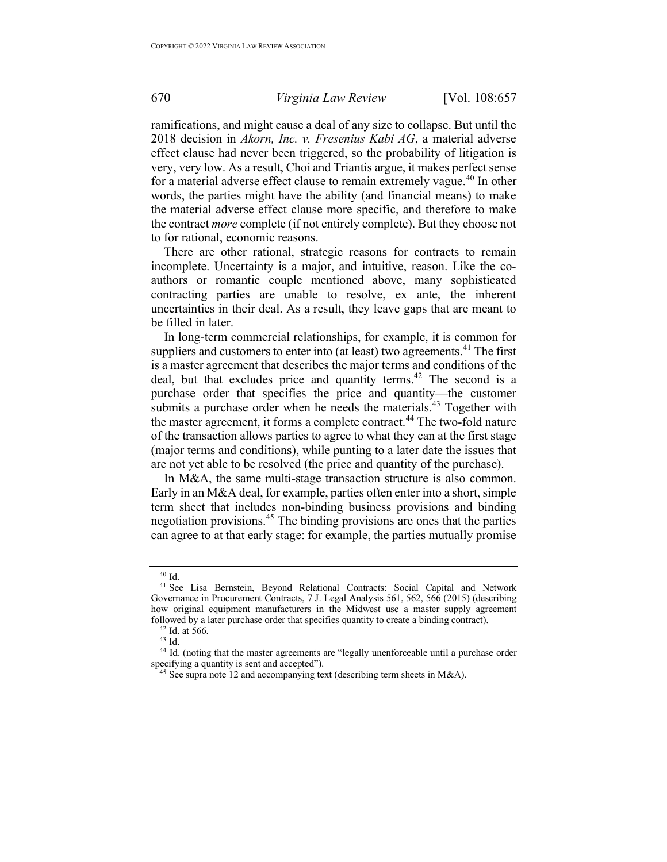ramifications, and might cause a deal of any size to collapse. But until the 2018 decision in *Akorn, Inc. v. Fresenius Kabi AG*, a material adverse effect clause had never been triggered, so the probability of litigation is very, very low. As a result, Choi and Triantis argue, it makes perfect sense for a material adverse effect clause to remain extremely vague.<sup>40</sup> In other words, the parties might have the ability (and financial means) to make the material adverse effect clause more specific, and therefore to make the contract *more* complete (if not entirely complete). But they choose not to for rational, economic reasons.

There are other rational, strategic reasons for contracts to remain incomplete. Uncertainty is a major, and intuitive, reason. Like the coauthors or romantic couple mentioned above, many sophisticated contracting parties are unable to resolve, ex ante, the inherent uncertainties in their deal. As a result, they leave gaps that are meant to be filled in later.

In long-term commercial relationships, for example, it is common for suppliers and customers to enter into (at least) two agreements.<sup>41</sup> The first is a master agreement that describes the major terms and conditions of the deal, but that excludes price and quantity terms.<sup>42</sup> The second is a purchase order that specifies the price and quantity—the customer submits a purchase order when he needs the materials.<sup>43</sup> Together with the master agreement, it forms a complete contract.<sup>44</sup> The two-fold nature of the transaction allows parties to agree to what they can at the first stage (major terms and conditions), while punting to a later date the issues that are not yet able to be resolved (the price and quantity of the purchase).

In M&A, the same multi-stage transaction structure is also common. Early in an M&A deal, for example, parties often enter into a short, simple term sheet that includes non-binding business provisions and binding negotiation provisions.<sup>45</sup> The binding provisions are ones that the parties can agree to at that early stage: for example, the parties mutually promise

<sup>40</sup> Id.

<sup>41</sup> See Lisa Bernstein, Beyond Relational Contracts: Social Capital and Network Governance in Procurement Contracts, 7 J. Legal Analysis 561, 562, 566 (2015) (describing how original equipment manufacturers in the Midwest use a master supply agreement followed by a later purchase order that specifies quantity to create a binding contract).

<sup>42</sup> Id. at 566.

<sup>43</sup> Id.

<sup>44</sup> Id. (noting that the master agreements are "legally unenforceable until a purchase order specifying a quantity is sent and accepted").

<sup>&</sup>lt;sup>45</sup> See supra note 12 and accompanying text (describing term sheets in M&A).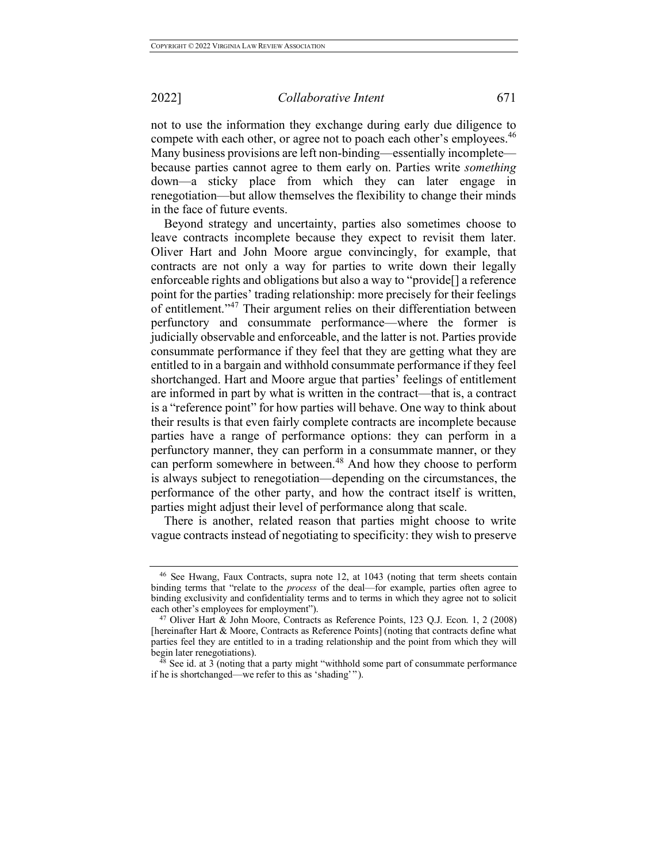not to use the information they exchange during early due diligence to compete with each other, or agree not to poach each other's employees.<sup>46</sup> Many business provisions are left non-binding—essentially incomplete because parties cannot agree to them early on. Parties write *something*  down—a sticky place from which they can later engage in renegotiation—but allow themselves the flexibility to change their minds in the face of future events.

Beyond strategy and uncertainty, parties also sometimes choose to leave contracts incomplete because they expect to revisit them later. Oliver Hart and John Moore argue convincingly, for example, that contracts are not only a way for parties to write down their legally enforceable rights and obligations but also a way to "provide[] a reference point for the parties' trading relationship: more precisely for their feelings of entitlement."<sup>47</sup> Their argument relies on their differentiation between perfunctory and consummate performance—where the former is judicially observable and enforceable, and the latter is not. Parties provide consummate performance if they feel that they are getting what they are entitled to in a bargain and withhold consummate performance if they feel shortchanged. Hart and Moore argue that parties' feelings of entitlement are informed in part by what is written in the contract—that is, a contract is a "reference point" for how parties will behave. One way to think about their results is that even fairly complete contracts are incomplete because parties have a range of performance options: they can perform in a perfunctory manner, they can perform in a consummate manner, or they can perform somewhere in between.<sup>48</sup> And how they choose to perform is always subject to renegotiation—depending on the circumstances, the performance of the other party, and how the contract itself is written, parties might adjust their level of performance along that scale.

There is another, related reason that parties might choose to write vague contracts instead of negotiating to specificity: they wish to preserve

<sup>46</sup> See Hwang, Faux Contracts, supra note 12, at 1043 (noting that term sheets contain binding terms that "relate to the *process* of the deal—for example, parties often agree to binding exclusivity and confidentiality terms and to terms in which they agree not to solicit each other's employees for employment").

<sup>47</sup> Oliver Hart & John Moore, Contracts as Reference Points, 123 Q.J. Econ. 1, 2 (2008) [hereinafter Hart & Moore, Contracts as Reference Points] (noting that contracts define what parties feel they are entitled to in a trading relationship and the point from which they will begin later renegotiations).

 $\frac{48}{18}$  See id. at 3 (noting that a party might "withhold some part of consummate performance if he is shortchanged—we refer to this as 'shading'").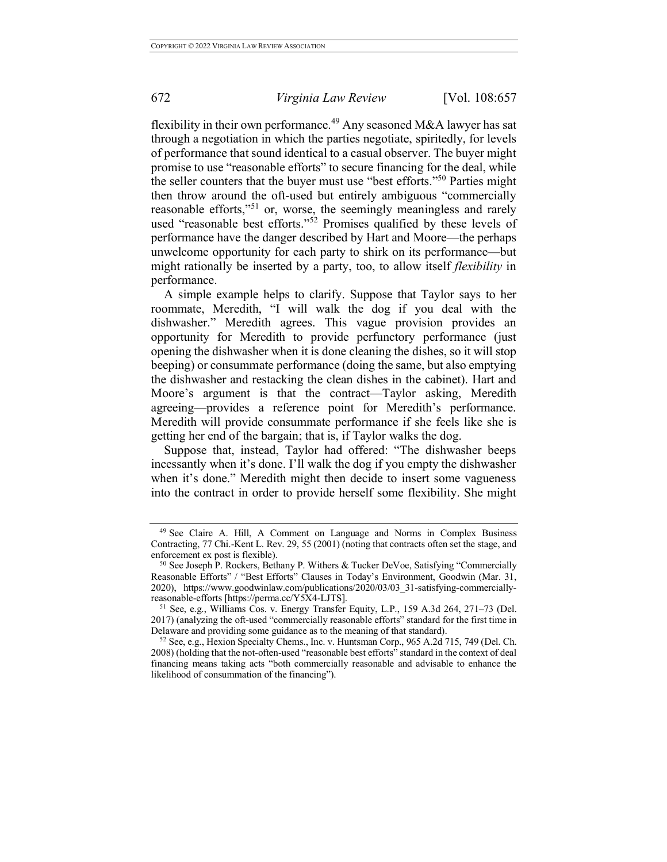flexibility in their own performance.<sup>49</sup> Any seasoned M&A lawyer has sat through a negotiation in which the parties negotiate, spiritedly, for levels of performance that sound identical to a casual observer. The buyer might promise to use "reasonable efforts" to secure financing for the deal, while the seller counters that the buyer must use "best efforts."<sup>50</sup> Parties might then throw around the oft-used but entirely ambiguous "commercially reasonable efforts,"<sup>51</sup> or, worse, the seemingly meaningless and rarely used "reasonable best efforts."<sup>52</sup> Promises qualified by these levels of performance have the danger described by Hart and Moore—the perhaps unwelcome opportunity for each party to shirk on its performance—but might rationally be inserted by a party, too, to allow itself *flexibility* in performance.

A simple example helps to clarify. Suppose that Taylor says to her roommate, Meredith, "I will walk the dog if you deal with the dishwasher." Meredith agrees. This vague provision provides an opportunity for Meredith to provide perfunctory performance (just opening the dishwasher when it is done cleaning the dishes, so it will stop beeping) or consummate performance (doing the same, but also emptying the dishwasher and restacking the clean dishes in the cabinet). Hart and Moore's argument is that the contract—Taylor asking, Meredith agreeing—provides a reference point for Meredith's performance. Meredith will provide consummate performance if she feels like she is getting her end of the bargain; that is, if Taylor walks the dog.

Suppose that, instead, Taylor had offered: "The dishwasher beeps incessantly when it's done. I'll walk the dog if you empty the dishwasher when it's done." Meredith might then decide to insert some vagueness into the contract in order to provide herself some flexibility. She might

<sup>49</sup> See Claire A. Hill, A Comment on Language and Norms in Complex Business Contracting, 77 Chi.-Kent L. Rev. 29, 55 (2001) (noting that contracts often set the stage, and enforcement ex post is flexible).<br><sup>50</sup> See Joseph P. Rockers, Bethany P. Withers & Tucker DeVoe, Satisfying "Commercially

Reasonable Efforts" / "Best Efforts" Clauses in Today's Environment, Goodwin (Mar. 31, 2020), https://www.goodwinlaw.com/publications/2020/03/03\_31-satisfying-commercially-<br>reasonable-efforts [https://perma.cc/Y5X4-LJTS].

<sup>&</sup>lt;sup>51</sup> See, e.g., Williams Cos. v. Energy Transfer Equity, L.P., 159 A.3d 264, 271–73 (Del. 2017) (analyzing the oft-used "commercially reasonable efforts" standard for the first time in Delaware and providing some guidance as to the meaning of that standard).

<sup>52</sup> See, e.g., Hexion Specialty Chems., Inc. v. Huntsman Corp., 965 A.2d 715, 749 (Del. Ch. 2008) (holding that the not-often-used "reasonable best efforts" standard in the context of deal financing means taking acts "both commercially reasonable and advisable to enhance the likelihood of consummation of the financing").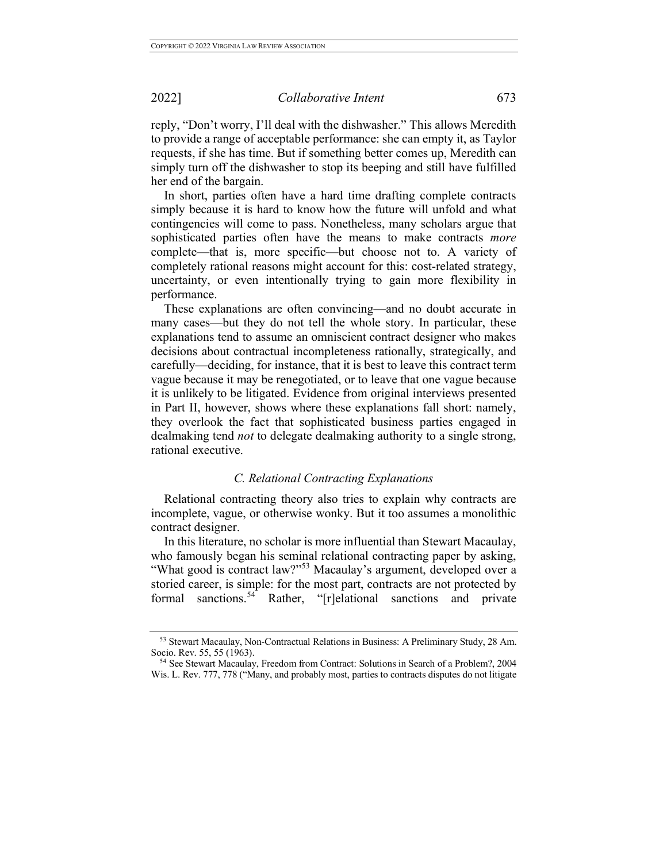reply, "Don't worry, I'll deal with the dishwasher." This allows Meredith to provide a range of acceptable performance: she can empty it, as Taylor requests, if she has time. But if something better comes up, Meredith can simply turn off the dishwasher to stop its beeping and still have fulfilled her end of the bargain.

In short, parties often have a hard time drafting complete contracts simply because it is hard to know how the future will unfold and what contingencies will come to pass. Nonetheless, many scholars argue that sophisticated parties often have the means to make contracts *more*  complete—that is, more specific—but choose not to. A variety of completely rational reasons might account for this: cost-related strategy, uncertainty, or even intentionally trying to gain more flexibility in performance.

These explanations are often convincing—and no doubt accurate in many cases—but they do not tell the whole story. In particular, these explanations tend to assume an omniscient contract designer who makes decisions about contractual incompleteness rationally, strategically, and carefully—deciding, for instance, that it is best to leave this contract term vague because it may be renegotiated, or to leave that one vague because it is unlikely to be litigated. Evidence from original interviews presented in Part II, however, shows where these explanations fall short: namely, they overlook the fact that sophisticated business parties engaged in dealmaking tend *not* to delegate dealmaking authority to a single strong, rational executive.

### *C. Relational Contracting Explanations*

Relational contracting theory also tries to explain why contracts are incomplete, vague, or otherwise wonky. But it too assumes a monolithic contract designer.

In this literature, no scholar is more influential than Stewart Macaulay, who famously began his seminal relational contracting paper by asking, "What good is contract law?"<sup>53</sup> Macaulay's argument, developed over a storied career, is simple: for the most part, contracts are not protected by formal sanctions.<sup>54</sup> Rather, "[r]elational sanctions and private

<sup>53</sup> Stewart Macaulay, Non-Contractual Relations in Business: A Preliminary Study, 28 Am. Socio. Rev. 55, 55 (1963).

<sup>54</sup> See Stewart Macaulay, Freedom from Contract: Solutions in Search of a Problem?, 2004 Wis. L. Rev. 777, 778 ("Many, and probably most, parties to contracts disputes do not litigate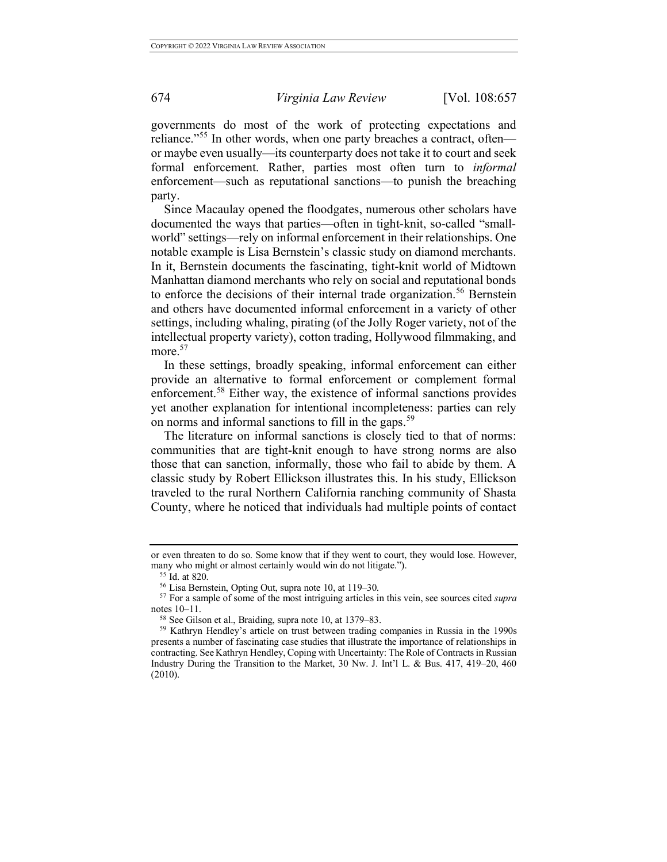governments do most of the work of protecting expectations and reliance."<sup>55</sup> In other words, when one party breaches a contract, often or maybe even usually—its counterparty does not take it to court and seek formal enforcement. Rather, parties most often turn to *informal*  enforcement—such as reputational sanctions—to punish the breaching party.

Since Macaulay opened the floodgates, numerous other scholars have documented the ways that parties—often in tight-knit, so-called "smallworld" settings—rely on informal enforcement in their relationships. One notable example is Lisa Bernstein's classic study on diamond merchants. In it, Bernstein documents the fascinating, tight-knit world of Midtown Manhattan diamond merchants who rely on social and reputational bonds to enforce the decisions of their internal trade organization.<sup>56</sup> Bernstein and others have documented informal enforcement in a variety of other settings, including whaling, pirating (of the Jolly Roger variety, not of the intellectual property variety), cotton trading, Hollywood filmmaking, and more.<sup>57</sup>

In these settings, broadly speaking, informal enforcement can either provide an alternative to formal enforcement or complement formal enforcement.<sup>58</sup> Either way, the existence of informal sanctions provides yet another explanation for intentional incompleteness: parties can rely on norms and informal sanctions to fill in the gaps.<sup>59</sup>

The literature on informal sanctions is closely tied to that of norms: communities that are tight-knit enough to have strong norms are also those that can sanction, informally, those who fail to abide by them. A classic study by Robert Ellickson illustrates this. In his study, Ellickson traveled to the rural Northern California ranching community of Shasta County, where he noticed that individuals had multiple points of contact

or even threaten to do so. Some know that if they went to court, they would lose. However, many who might or almost certainly would win do not litigate.").

 $55$  Id. at 820.<br> $56$  Lisa Bernstein, Opting Out, supra note 10, at 119–30.

<sup>&</sup>lt;sup>57</sup> For a sample of some of the most intriguing articles in this vein, see sources cited *supra* notes 10–11.

<sup>58</sup> See Gilson et al., Braiding, supra note 10, at 1379–83. 59 Kathryn Hendley's article on trust between trading companies in Russia in the 1990s presents a number of fascinating case studies that illustrate the importance of relationships in contracting. See Kathryn Hendley, Coping with Uncertainty: The Role of Contracts in Russian Industry During the Transition to the Market, 30 Nw. J. Int'l L. & Bus. 417, 419–20, 460 (2010).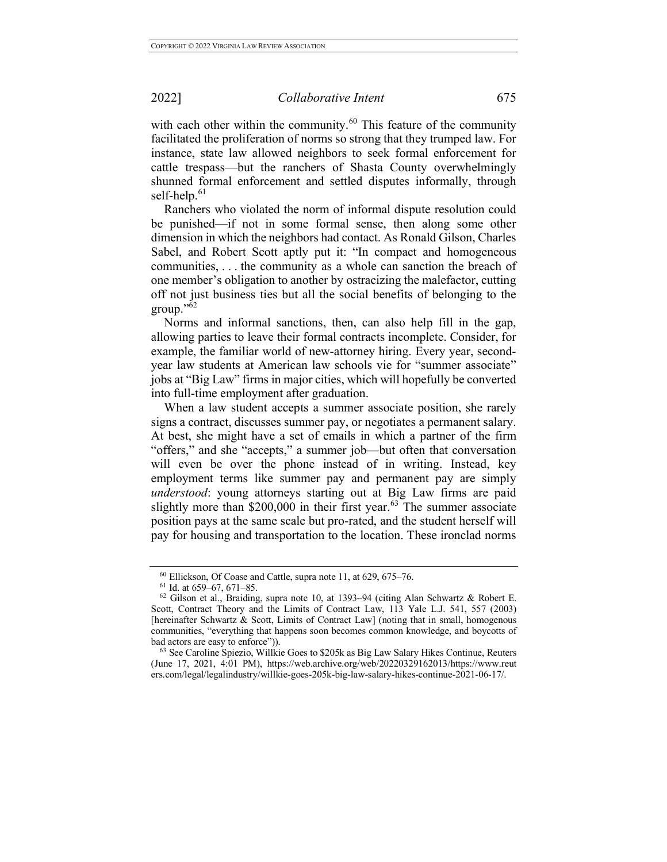with each other within the community. $60$  This feature of the community facilitated the proliferation of norms so strong that they trumped law. For instance, state law allowed neighbors to seek formal enforcement for cattle trespass—but the ranchers of Shasta County overwhelmingly shunned formal enforcement and settled disputes informally, through self-help.<sup>61</sup>

Ranchers who violated the norm of informal dispute resolution could be punished—if not in some formal sense, then along some other dimension in which the neighbors had contact. As Ronald Gilson, Charles Sabel, and Robert Scott aptly put it: "In compact and homogeneous communities, . . . the community as a whole can sanction the breach of one member's obligation to another by ostracizing the malefactor, cutting off not just business ties but all the social benefits of belonging to the group." $62$ 

Norms and informal sanctions, then, can also help fill in the gap, allowing parties to leave their formal contracts incomplete. Consider, for example, the familiar world of new-attorney hiring. Every year, secondyear law students at American law schools vie for "summer associate" jobs at "Big Law" firms in major cities, which will hopefully be converted into full-time employment after graduation.

When a law student accepts a summer associate position, she rarely signs a contract, discusses summer pay, or negotiates a permanent salary. At best, she might have a set of emails in which a partner of the firm "offers," and she "accepts," a summer job—but often that conversation will even be over the phone instead of in writing. Instead, key employment terms like summer pay and permanent pay are simply *understood*: young attorneys starting out at Big Law firms are paid slightly more than \$200,000 in their first year.<sup>63</sup> The summer associate position pays at the same scale but pro-rated, and the student herself will pay for housing and transportation to the location. These ironclad norms

<sup>&</sup>lt;sup>60</sup> Ellickson, Of Coase and Cattle, supra note 11, at 629, 675–76. <sup>61</sup> Id. at 659–67, 671–85.

<sup>62</sup> Gilson et al., Braiding, supra note 10, at 1393–94 (citing Alan Schwartz & Robert E. Scott, Contract Theory and the Limits of Contract Law, 113 Yale L.J. 541, 557 (2003) [hereinafter Schwartz & Scott, Limits of Contract Law] (noting that in small, homogenous communities, "everything that happens soon becomes common knowledge, and boycotts of

 $63$  See Caroline Spiezio, Willkie Goes to \$205k as Big Law Salary Hikes Continue, Reuters (June 17, 2021, 4:01 PM), https://web.archive.org/web/20220329162013/https://www.reut ers.com/legal/legalindustry/willkie-goes-205k-big-law-salary-hikes-continue-2021-06-17/.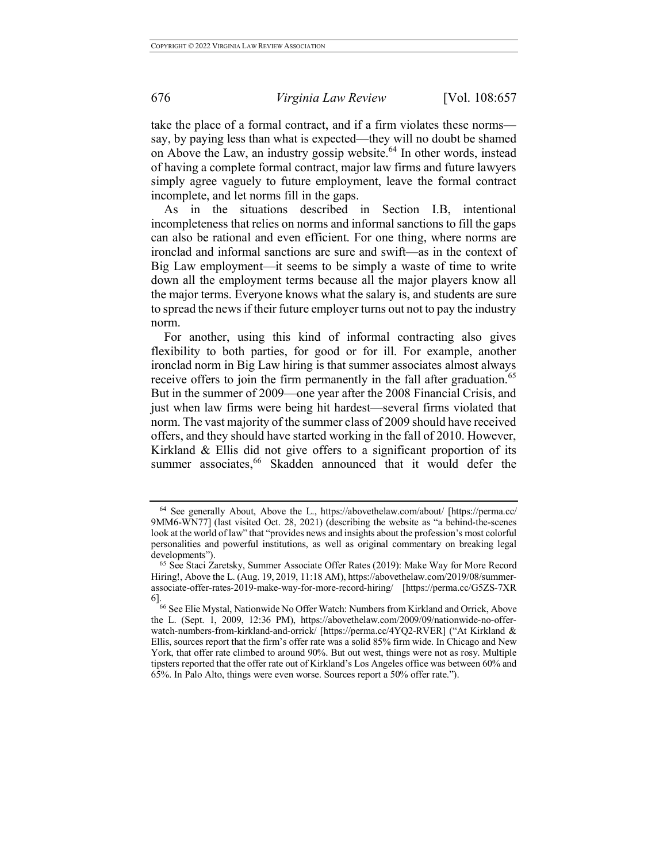take the place of a formal contract, and if a firm violates these norms say, by paying less than what is expected—they will no doubt be shamed on Above the Law, an industry gossip website.<sup>64</sup> In other words, instead of having a complete formal contract, major law firms and future lawyers simply agree vaguely to future employment, leave the formal contract incomplete, and let norms fill in the gaps.

As in the situations described in Section I.B, intentional incompleteness that relies on norms and informal sanctions to fill the gaps can also be rational and even efficient. For one thing, where norms are ironclad and informal sanctions are sure and swift—as in the context of Big Law employment—it seems to be simply a waste of time to write down all the employment terms because all the major players know all the major terms. Everyone knows what the salary is, and students are sure to spread the news if their future employer turns out not to pay the industry norm.

For another, using this kind of informal contracting also gives flexibility to both parties, for good or for ill. For example, another ironclad norm in Big Law hiring is that summer associates almost always receive offers to join the firm permanently in the fall after graduation.<sup>65</sup> But in the summer of 2009—one year after the 2008 Financial Crisis, and just when law firms were being hit hardest—several firms violated that norm. The vast majority of the summer class of 2009 should have received offers, and they should have started working in the fall of 2010. However, Kirkland & Ellis did not give offers to a significant proportion of its summer associates,<sup>66</sup> Skadden announced that it would defer the

<sup>64</sup> See generally About, Above the L., https://abovethelaw.com/about/ [https://perma.cc/ 9MM6-WN77] (last visited Oct. 28, 2021) (describing the website as "a behind-the-scenes look at the world of law" that "provides news and insights about the profession's most colorful personalities and powerful institutions, as well as original commentary on breaking legal developments").

<sup>65</sup> See Staci Zaretsky, Summer Associate Offer Rates (2019): Make Way for More Record Hiring!, Above the L. (Aug. 19, 2019, 11:18 AM), https://abovethelaw.com/2019/08/summerassociate-offer-rates-2019-make-way-for-more-record-hiring/ [https://perma.cc/G5ZS-7XR

<sup>6]. 66</sup> See Elie Mystal, Nationwide No Offer Watch: Numbers from Kirkland and Orrick, Above the L. (Sept. 1, 2009, 12:36 PM), https://abovethelaw.com/2009/09/nationwide-no-offerwatch-numbers-from-kirkland-and-orrick/ [https://perma.cc/4YQ2-RVER] ("At Kirkland & Ellis, sources report that the firm's offer rate was a solid 85% firm wide. In Chicago and New York, that offer rate climbed to around 90%. But out west, things were not as rosy. Multiple tipsters reported that the offer rate out of Kirkland's Los Angeles office was between 60% and 65%. In Palo Alto, things were even worse. Sources report a 50% offer rate.").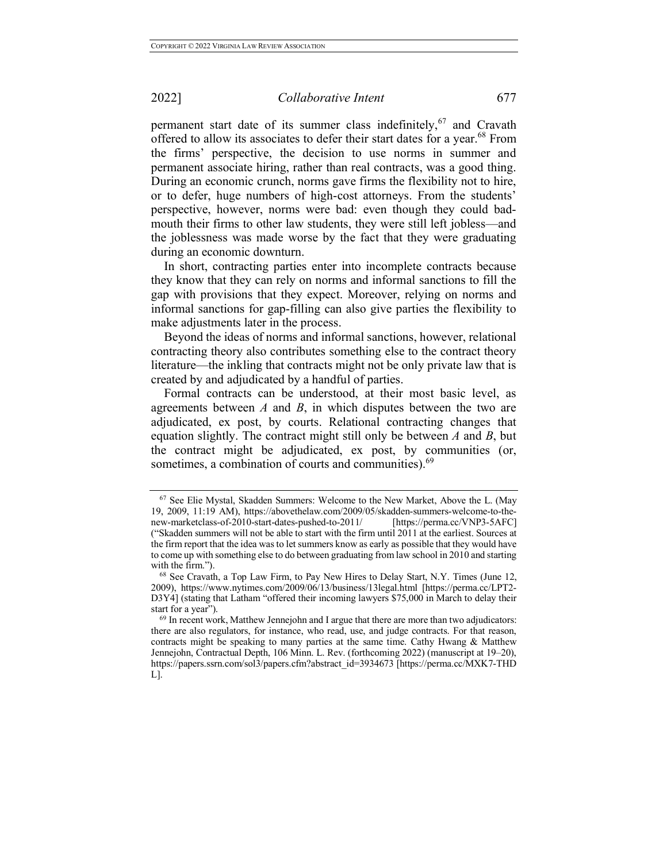permanent start date of its summer class indefinitely,  $67$  and Cravath offered to allow its associates to defer their start dates for a year.<sup>68</sup> From the firms' perspective, the decision to use norms in summer and permanent associate hiring, rather than real contracts, was a good thing. During an economic crunch, norms gave firms the flexibility not to hire, or to defer, huge numbers of high-cost attorneys. From the students' perspective, however, norms were bad: even though they could badmouth their firms to other law students, they were still left jobless—and the joblessness was made worse by the fact that they were graduating during an economic downturn.

In short, contracting parties enter into incomplete contracts because they know that they can rely on norms and informal sanctions to fill the gap with provisions that they expect. Moreover, relying on norms and informal sanctions for gap-filling can also give parties the flexibility to make adjustments later in the process.

Beyond the ideas of norms and informal sanctions, however, relational contracting theory also contributes something else to the contract theory literature—the inkling that contracts might not be only private law that is created by and adjudicated by a handful of parties.

Formal contracts can be understood, at their most basic level, as agreements between *A* and *B*, in which disputes between the two are adjudicated, ex post, by courts. Relational contracting changes that equation slightly. The contract might still only be between *A* and *B*, but the contract might be adjudicated, ex post, by communities (or, sometimes, a combination of courts and communities).<sup>69</sup>

<sup>67</sup> See Elie Mystal, Skadden Summers: Welcome to the New Market, Above the L. (May 19, 2009, 11:19 AM), https://abovethelaw.com/2009/05/skadden-summers-welcome-to-thenew-marketclass-of-2010-start-dates-pushed-to-2011/ [https://perma.cc/VNP3-5AFC] ("Skadden summers will not be able to start with the firm until 2011 at the earliest. Sources at the firm report that the idea was to let summers know as early as possible that they would have to come up with something else to do between graduating from law school in 2010 and starting with the firm.").

<sup>68</sup> See Cravath, a Top Law Firm, to Pay New Hires to Delay Start, N.Y. Times (June 12, 2009), https://www.nytimes.com/2009/06/13/business/13legal.html [https://perma.cc/LPT2- D3Y4] (stating that Latham "offered their incoming lawyers \$75,000 in March to delay their start for a year").

<sup>69</sup> In recent work, Matthew Jennejohn and I argue that there are more than two adjudicators: there are also regulators, for instance, who read, use, and judge contracts. For that reason, contracts might be speaking to many parties at the same time. Cathy Hwang & Matthew Jennejohn, Contractual Depth, 106 Minn. L. Rev. (forthcoming 2022) (manuscript at 19–20), https://papers.ssrn.com/sol3/papers.cfm?abstract\_id=3934673 [https://perma.cc/MXK7-THD L].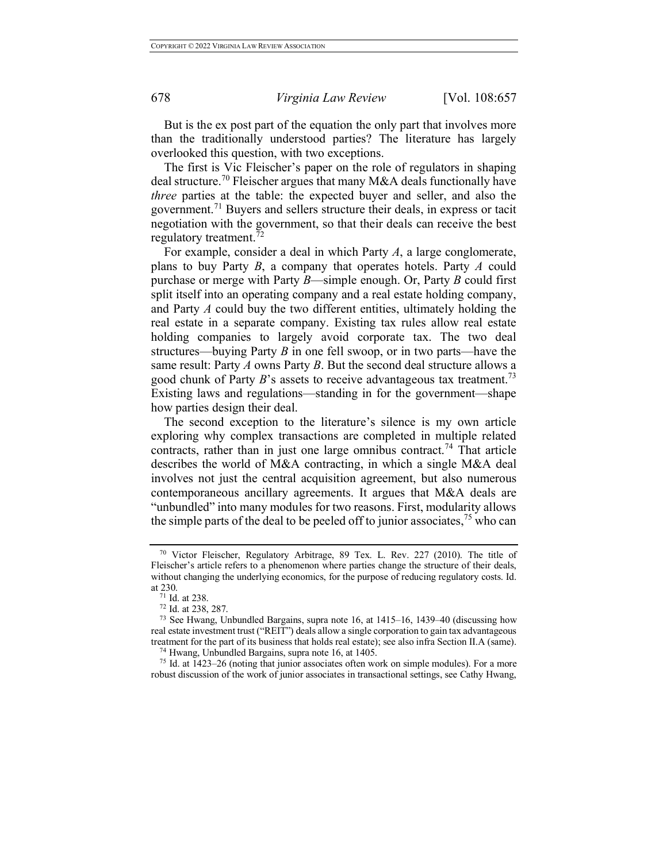But is the ex post part of the equation the only part that involves more than the traditionally understood parties? The literature has largely overlooked this question, with two exceptions.

The first is Vic Fleischer's paper on the role of regulators in shaping deal structure.<sup>70</sup> Fleischer argues that many M&A deals functionally have *three* parties at the table: the expected buyer and seller, and also the government.<sup>71</sup> Buyers and sellers structure their deals, in express or tacit negotiation with the government, so that their deals can receive the best regulatory treatment.<sup>72</sup>

For example, consider a deal in which Party *A*, a large conglomerate, plans to buy Party *B*, a company that operates hotels. Party *A* could purchase or merge with Party *B*—simple enough. Or, Party *B* could first split itself into an operating company and a real estate holding company, and Party *A* could buy the two different entities, ultimately holding the real estate in a separate company. Existing tax rules allow real estate holding companies to largely avoid corporate tax. The two deal structures—buying Party *B* in one fell swoop, or in two parts—have the same result: Party *A* owns Party *B*. But the second deal structure allows a good chunk of Party *B*'s assets to receive advantageous tax treatment.<sup>73</sup> Existing laws and regulations—standing in for the government—shape how parties design their deal.

The second exception to the literature's silence is my own article exploring why complex transactions are completed in multiple related contracts, rather than in just one large omnibus contract.<sup>74</sup> That article describes the world of M&A contracting, in which a single M&A deal involves not just the central acquisition agreement, but also numerous contemporaneous ancillary agreements. It argues that M&A deals are "unbundled" into many modules for two reasons. First, modularity allows the simple parts of the deal to be peeled off to junior associates,  $75$  who can

<sup>70</sup> Victor Fleischer, Regulatory Arbitrage, 89 Tex. L. Rev. 227 (2010). The title of Fleischer's article refers to a phenomenon where parties change the structure of their deals, without changing the underlying economics, for the purpose of reducing regulatory costs. Id.

at 230.<br><sup>71</sup> Id. at 238.<br><sup>72</sup> Id. at 238, 287.<br><sup>73</sup> See Hwang, Unbundled Bargains, supra note 16, at 1415–16, 1439–40 (discussing how real estate investment trust ("REIT") deals allow a single corporation to gain tax advantageous treatment for the part of its business that holds real estate); see also infra Section II.A (same). <sup>74</sup> Hwang, Unbundled Bargains, supra note 16, at 1405.<br><sup>75</sup> Id. at 1423–26 (noting that junior associates often work on simple modules). For a more

robust discussion of the work of junior associates in transactional settings, see Cathy Hwang,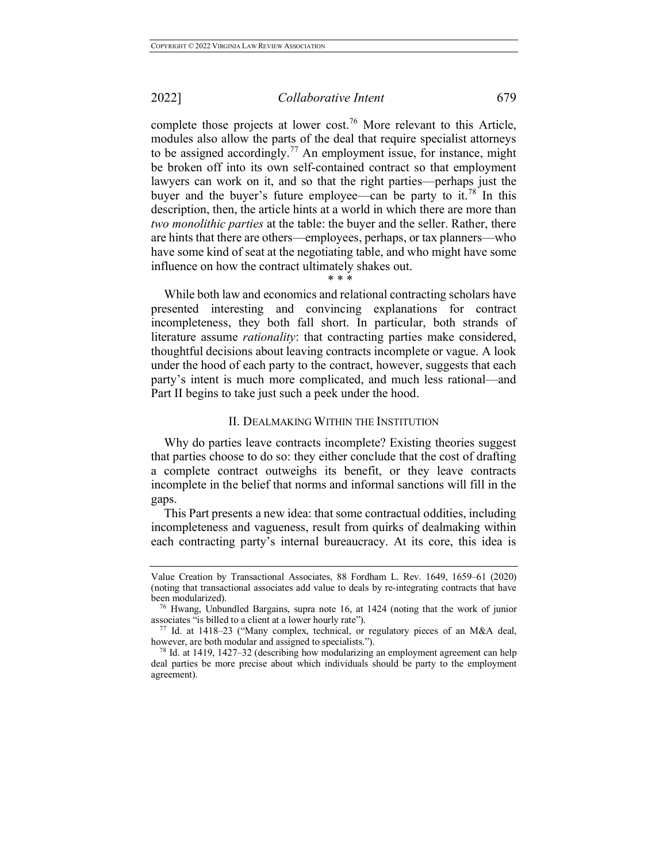complete those projects at lower cost.<sup>76</sup> More relevant to this Article, modules also allow the parts of the deal that require specialist attorneys to be assigned accordingly.<sup>77</sup> An employment issue, for instance, might be broken off into its own self-contained contract so that employment lawyers can work on it, and so that the right parties—perhaps just the buyer and the buyer's future employee—can be party to it.<sup>78</sup> In this description, then, the article hints at a world in which there are more than *two monolithic parties* at the table: the buyer and the seller. Rather, there are hints that there are others—employees, perhaps, or tax planners—who have some kind of seat at the negotiating table, and who might have some influence on how the contract ultimately shakes out.

\* \* \*

While both law and economics and relational contracting scholars have presented interesting and convincing explanations for contract incompleteness, they both fall short. In particular, both strands of literature assume *rationality*: that contracting parties make considered, thoughtful decisions about leaving contracts incomplete or vague. A look under the hood of each party to the contract, however, suggests that each party's intent is much more complicated, and much less rational—and Part II begins to take just such a peek under the hood.

### II. DEALMAKING WITHIN THE INSTITUTION

Why do parties leave contracts incomplete? Existing theories suggest that parties choose to do so: they either conclude that the cost of drafting a complete contract outweighs its benefit, or they leave contracts incomplete in the belief that norms and informal sanctions will fill in the gaps.

This Part presents a new idea: that some contractual oddities, including incompleteness and vagueness, result from quirks of dealmaking within each contracting party's internal bureaucracy. At its core, this idea is

Value Creation by Transactional Associates, 88 Fordham L. Rev. 1649, 1659–61 (2020) (noting that transactional associates add value to deals by re-integrating contracts that have

 $\frac{76}{10}$  Hwang, Unbundled Bargains, supra note 16, at 1424 (noting that the work of junior associates "is billed to a client at a lower hourly rate").

<sup>77</sup> Id. at 1418–23 ("Many complex, technical, or regulatory pieces of an M&A deal, however, are both modular and assigned to specialists.").

<sup>78</sup> Id. at 1419, 1427–32 (describing how modularizing an employment agreement can help deal parties be more precise about which individuals should be party to the employment agreement).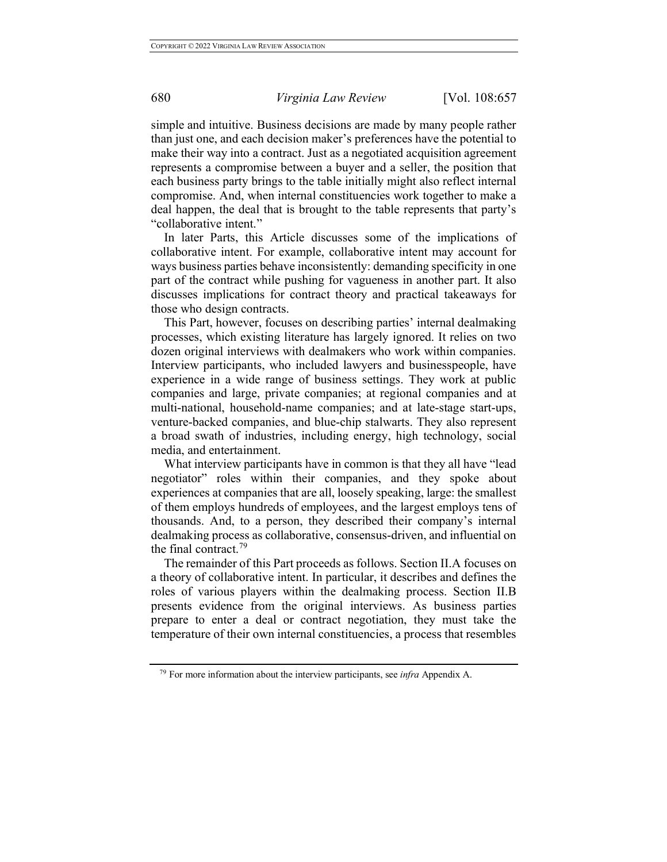simple and intuitive. Business decisions are made by many people rather than just one, and each decision maker's preferences have the potential to make their way into a contract. Just as a negotiated acquisition agreement represents a compromise between a buyer and a seller, the position that each business party brings to the table initially might also reflect internal compromise. And, when internal constituencies work together to make a deal happen, the deal that is brought to the table represents that party's "collaborative intent."

In later Parts, this Article discusses some of the implications of collaborative intent. For example, collaborative intent may account for ways business parties behave inconsistently: demanding specificity in one part of the contract while pushing for vagueness in another part. It also discusses implications for contract theory and practical takeaways for those who design contracts.

This Part, however, focuses on describing parties' internal dealmaking processes, which existing literature has largely ignored. It relies on two dozen original interviews with dealmakers who work within companies. Interview participants, who included lawyers and businesspeople, have experience in a wide range of business settings. They work at public companies and large, private companies; at regional companies and at multi-national, household-name companies; and at late-stage start-ups, venture-backed companies, and blue-chip stalwarts. They also represent a broad swath of industries, including energy, high technology, social media, and entertainment.

What interview participants have in common is that they all have "lead negotiator" roles within their companies, and they spoke about experiences at companies that are all, loosely speaking, large: the smallest of them employs hundreds of employees, and the largest employs tens of thousands. And, to a person, they described their company's internal dealmaking process as collaborative, consensus-driven, and influential on the final contract.<sup>79</sup>

The remainder of this Part proceeds as follows. Section II.A focuses on a theory of collaborative intent. In particular, it describes and defines the roles of various players within the dealmaking process. Section II.B presents evidence from the original interviews. As business parties prepare to enter a deal or contract negotiation, they must take the temperature of their own internal constituencies, a process that resembles

<sup>79</sup> For more information about the interview participants, see *infra* Appendix A.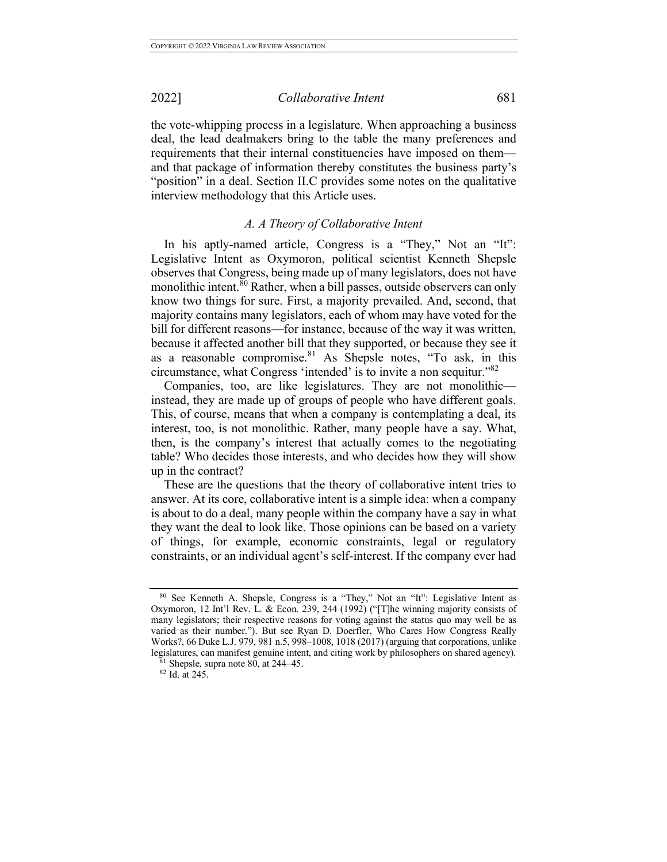the vote-whipping process in a legislature. When approaching a business deal, the lead dealmakers bring to the table the many preferences and requirements that their internal constituencies have imposed on them and that package of information thereby constitutes the business party's "position" in a deal. Section II.C provides some notes on the qualitative interview methodology that this Article uses.

### *A. A Theory of Collaborative Intent*

In his aptly-named article, Congress is a "They," Not an "It": Legislative Intent as Oxymoron, political scientist Kenneth Shepsle observes that Congress, being made up of many legislators, does not have monolithic intent. $\frac{80}{9}$  Rather, when a bill passes, outside observers can only know two things for sure. First, a majority prevailed. And, second, that majority contains many legislators, each of whom may have voted for the bill for different reasons—for instance, because of the way it was written, because it affected another bill that they supported, or because they see it as a reasonable compromise. $81$  As Shepsle notes, "To ask, in this circumstance, what Congress 'intended' is to invite a non sequitur."82

Companies, too, are like legislatures. They are not monolithic instead, they are made up of groups of people who have different goals. This, of course, means that when a company is contemplating a deal, its interest, too, is not monolithic. Rather, many people have a say. What, then, is the company's interest that actually comes to the negotiating table? Who decides those interests, and who decides how they will show up in the contract?

These are the questions that the theory of collaborative intent tries to answer. At its core, collaborative intent is a simple idea: when a company is about to do a deal, many people within the company have a say in what they want the deal to look like. Those opinions can be based on a variety of things, for example, economic constraints, legal or regulatory constraints, or an individual agent's self-interest. If the company ever had

<sup>80</sup> See Kenneth A. Shepsle, Congress is a "They," Not an "It": Legislative Intent as Oxymoron, 12 Int'l Rev. L. & Econ. 239, 244 (1992) ("[T]he winning majority consists of many legislators; their respective reasons for voting against the status quo may well be as varied as their number."). But see Ryan D. Doerfler, Who Cares How Congress Really Works?, 66 Duke L.J. 979, 981 n.5, 998–1008, 1018 (2017) (arguing that corporations, unlike legislatures, can manifest genuine intent, and citing work by philosophers on shared agency).  $81$  Shepsle, supra note 80, at 244–45.

<sup>82</sup> Id. at 245.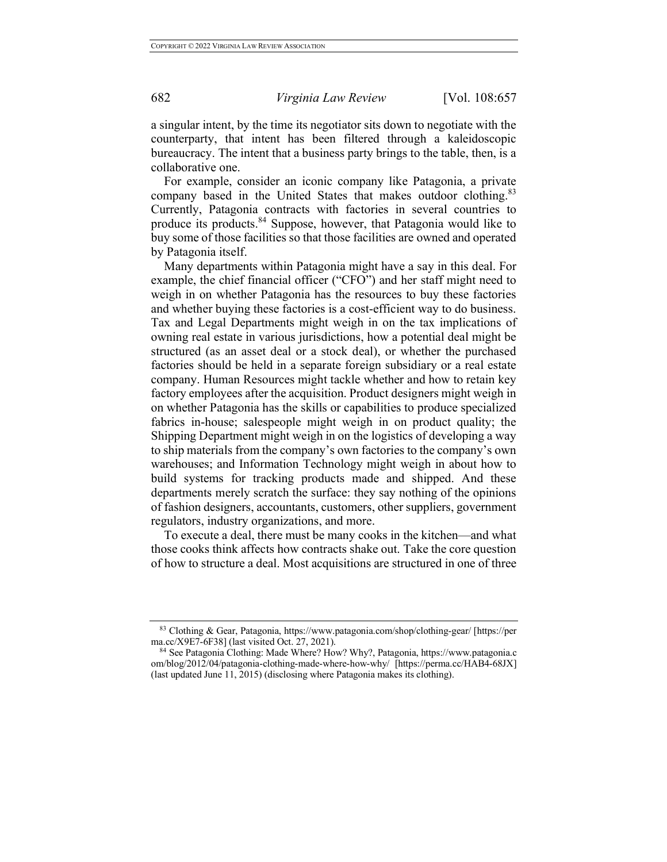a singular intent, by the time its negotiator sits down to negotiate with the counterparty, that intent has been filtered through a kaleidoscopic bureaucracy. The intent that a business party brings to the table, then, is a collaborative one.

For example, consider an iconic company like Patagonia, a private company based in the United States that makes outdoor clothing.<sup>83</sup> Currently, Patagonia contracts with factories in several countries to produce its products.<sup>84</sup> Suppose, however, that Patagonia would like to buy some of those facilities so that those facilities are owned and operated by Patagonia itself.

Many departments within Patagonia might have a say in this deal. For example, the chief financial officer ("CFO") and her staff might need to weigh in on whether Patagonia has the resources to buy these factories and whether buying these factories is a cost-efficient way to do business. Tax and Legal Departments might weigh in on the tax implications of owning real estate in various jurisdictions, how a potential deal might be structured (as an asset deal or a stock deal), or whether the purchased factories should be held in a separate foreign subsidiary or a real estate company. Human Resources might tackle whether and how to retain key factory employees after the acquisition. Product designers might weigh in on whether Patagonia has the skills or capabilities to produce specialized fabrics in-house; salespeople might weigh in on product quality; the Shipping Department might weigh in on the logistics of developing a way to ship materials from the company's own factories to the company's own warehouses; and Information Technology might weigh in about how to build systems for tracking products made and shipped. And these departments merely scratch the surface: they say nothing of the opinions of fashion designers, accountants, customers, other suppliers, government regulators, industry organizations, and more.

To execute a deal, there must be many cooks in the kitchen—and what those cooks think affects how contracts shake out. Take the core question of how to structure a deal. Most acquisitions are structured in one of three

<sup>83</sup> Clothing & Gear, Patagonia, https://www.patagonia.com/shop/clothing-gear/ [https://per

<sup>&</sup>lt;sup>84</sup> See Patagonia Clothing: Made Where? How? Why?, Patagonia, https://www.patagonia.c om/blog/2012/04/patagonia-clothing-made-where-how-why/ [https://perma.cc/HAB4-68JX] (last updated June 11, 2015) (disclosing where Patagonia makes its clothing).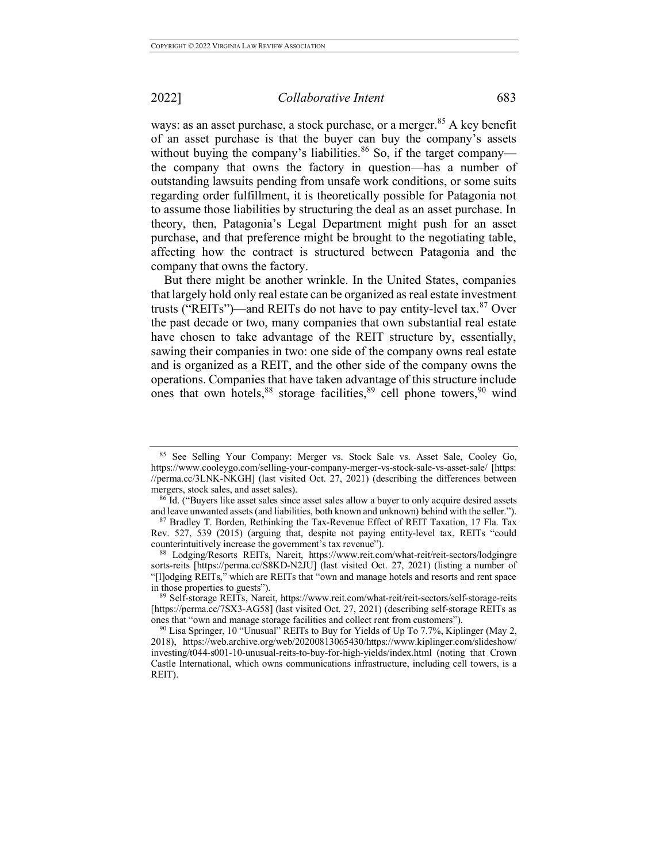ways: as an asset purchase, a stock purchase, or a merger.<sup>85</sup> A key benefit of an asset purchase is that the buyer can buy the company's assets without buying the company's liabilities.<sup>86</sup> So, if the target company the company that owns the factory in question—has a number of outstanding lawsuits pending from unsafe work conditions, or some suits regarding order fulfillment, it is theoretically possible for Patagonia not to assume those liabilities by structuring the deal as an asset purchase. In theory, then, Patagonia's Legal Department might push for an asset purchase, and that preference might be brought to the negotiating table, affecting how the contract is structured between Patagonia and the company that owns the factory.

But there might be another wrinkle. In the United States, companies that largely hold only real estate can be organized as real estate investment trusts ("REITs")—and REITs do not have to pay entity-level tax.<sup>87</sup> Over the past decade or two, many companies that own substantial real estate have chosen to take advantage of the REIT structure by, essentially, sawing their companies in two: one side of the company owns real estate and is organized as a REIT, and the other side of the company owns the operations. Companies that have taken advantage of this structure include ones that own hotels,  $88$  storage facilities,  $89$  cell phone towers,  $90$  wind

<sup>85</sup> See Selling Your Company: Merger vs. Stock Sale vs. Asset Sale, Cooley Go, https://www.cooleygo.com/selling-your-company-merger-vs-stock-sale-vs-asset-sale/ [https: //perma.cc/3LNK-NKGH] (last visited Oct. 27, 2021) (describing the differences between mergers, stock sales, and asset sales).

<sup>&</sup>lt;sup>86</sup> Id. ("Buyers like asset sales since asset sales allow a buyer to only acquire desired assets and leave unwanted assets (and liabilities, both known and unknown) behind with the seller."). <sup>87</sup> Bradley T. Borden, Rethinking the Tax-Revenue Effect of REIT Taxation, 17 Fla. Tax

Rev. 527, 539 (2015) (arguing that, despite not paying entity-level tax, REITs "could

<sup>&</sup>lt;sup>88</sup> Lodging/Resorts REITs, Nareit, https://www.reit.com/what-reit/reit-sectors/lodgingre sorts-reits [https://perma.cc/S8KD-N2JU] (last visited Oct. 27, 2021) (listing a number of "[l]odging REITs," which are REITs that "own and manage hotels and resorts and rent space in those properties to guests").

<sup>89</sup> Self-storage REITs, Nareit, https://www.reit.com/what-reit/reit-sectors/self-storage-reits [https://perma.cc/7SX3-AG58] (last visited Oct. 27, 2021) (describing self-storage REITs as ones that "own and manage storage facilities and collect rent from customers").<br><sup>90</sup> Lisa Springer, 10 "Unusual" REITs to Buy for Yields of Up To 7.7%, Kiplinger (May 2,

<sup>2018),</sup> https://web.archive.org/web/20200813065430/https://www.kiplinger.com/slideshow/ investing/t044-s001-10-unusual-reits-to-buy-for-high-yields/index.html (noting that Crown Castle International, which owns communications infrastructure, including cell towers, is a REIT).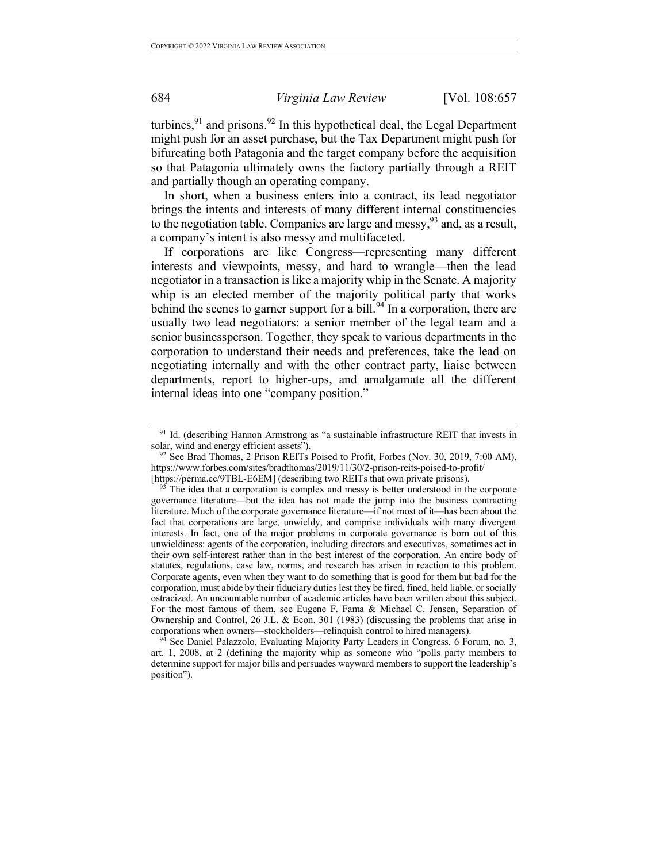turbines,  $91$  and prisons.  $92$  In this hypothetical deal, the Legal Department might push for an asset purchase, but the Tax Department might push for bifurcating both Patagonia and the target company before the acquisition so that Patagonia ultimately owns the factory partially through a REIT and partially though an operating company.

In short, when a business enters into a contract, its lead negotiator brings the intents and interests of many different internal constituencies to the negotiation table. Companies are large and messy,  $93$  and, as a result, a company's intent is also messy and multifaceted.

If corporations are like Congress—representing many different interests and viewpoints, messy, and hard to wrangle—then the lead negotiator in a transaction is like a majority whip in the Senate. A majority whip is an elected member of the majority political party that works behind the scenes to garner support for a bill.<sup>94</sup> In a corporation, there are usually two lead negotiators: a senior member of the legal team and a senior businessperson. Together, they speak to various departments in the corporation to understand their needs and preferences, take the lead on negotiating internally and with the other contract party, liaise between departments, report to higher-ups, and amalgamate all the different internal ideas into one "company position."

<sup>&</sup>lt;sup>91</sup> Id. (describing Hannon Armstrong as "a sustainable infrastructure REIT that invests in solar, wind and energy efficient assets").

<sup>92</sup> See Brad Thomas, 2 Prison REITs Poised to Profit, Forbes (Nov. 30, 2019, 7:00 AM), https://www.forbes.com/sites/bradthomas/2019/11/30/2-prison-reits-poised-to-profit/ [https://perma.cc/9TBL-E6EM] (describing two REITs that own private prisons).

 $93$  The idea that a corporation is complex and messy is better understood in the corporate governance literature—but the idea has not made the jump into the business contracting literature. Much of the corporate governance literature—if not most of it—has been about the fact that corporations are large, unwieldy, and comprise individuals with many divergent interests. In fact, one of the major problems in corporate governance is born out of this unwieldiness: agents of the corporation, including directors and executives, sometimes act in their own self-interest rather than in the best interest of the corporation. An entire body of statutes, regulations, case law, norms, and research has arisen in reaction to this problem. Corporate agents, even when they want to do something that is good for them but bad for the corporation, must abide by their fiduciary duties lest they be fired, fined, held liable, or socially ostracized. An uncountable number of academic articles have been written about this subject. For the most famous of them, see Eugene F. Fama & Michael C. Jensen, Separation of Ownership and Control, 26 J.L. & Econ. 301 (1983) (discussing the problems that arise in corporations when owners—stockholders—relinquish control to hired managers).

 $94$  See Daniel Palazzolo, Evaluating Majority Party Leaders in Congress, 6 Forum, no. 3, art. 1, 2008, at 2 (defining the majority whip as someone who "polls party members to determine support for major bills and persuades wayward members to support the leadership's position").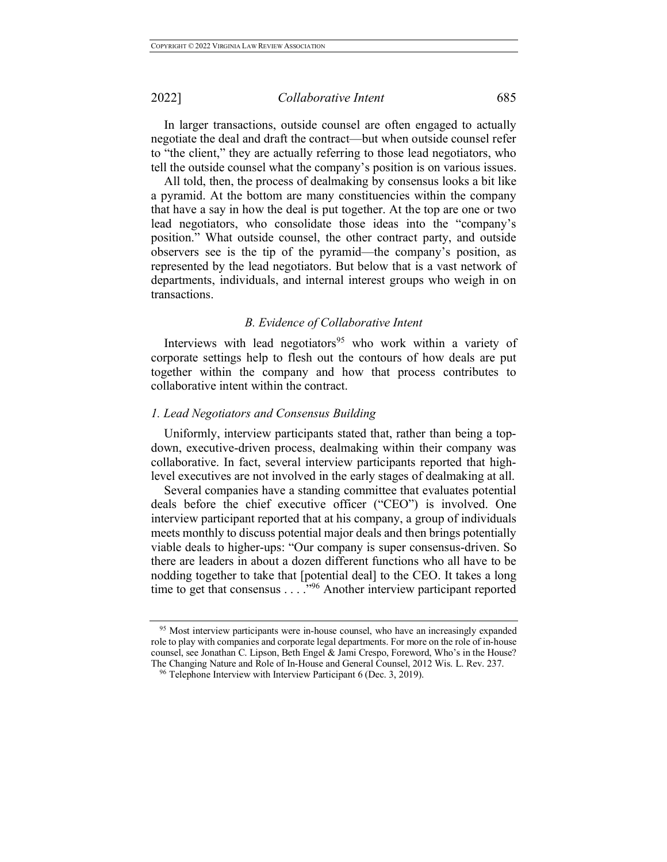In larger transactions, outside counsel are often engaged to actually negotiate the deal and draft the contract—but when outside counsel refer to "the client," they are actually referring to those lead negotiators, who tell the outside counsel what the company's position is on various issues.

All told, then, the process of dealmaking by consensus looks a bit like a pyramid. At the bottom are many constituencies within the company that have a say in how the deal is put together. At the top are one or two lead negotiators, who consolidate those ideas into the "company's position." What outside counsel, the other contract party, and outside observers see is the tip of the pyramid—the company's position, as represented by the lead negotiators. But below that is a vast network of departments, individuals, and internal interest groups who weigh in on transactions.

# *B. Evidence of Collaborative Intent*

Interviews with lead negotiators<sup>95</sup> who work within a variety of corporate settings help to flesh out the contours of how deals are put together within the company and how that process contributes to collaborative intent within the contract.

### *1. Lead Negotiators and Consensus Building*

Uniformly, interview participants stated that, rather than being a topdown, executive-driven process, dealmaking within their company was collaborative. In fact, several interview participants reported that highlevel executives are not involved in the early stages of dealmaking at all.

Several companies have a standing committee that evaluates potential deals before the chief executive officer ("CEO") is involved. One interview participant reported that at his company, a group of individuals meets monthly to discuss potential major deals and then brings potentially viable deals to higher-ups: "Our company is super consensus-driven. So there are leaders in about a dozen different functions who all have to be nodding together to take that [potential deal] to the CEO. It takes a long time to get that consensus . . . ."96 Another interview participant reported

<sup>95</sup> Most interview participants were in-house counsel, who have an increasingly expanded role to play with companies and corporate legal departments. For more on the role of in-house counsel, see Jonathan C. Lipson, Beth Engel & Jami Crespo, Foreword, Who's in the House? The Changing Nature and Role of In-House and General Counsel, 2012 Wis. L. Rev. 237. <sup>96</sup> Telephone Interview with Interview Participant 6 (Dec. 3, 2019).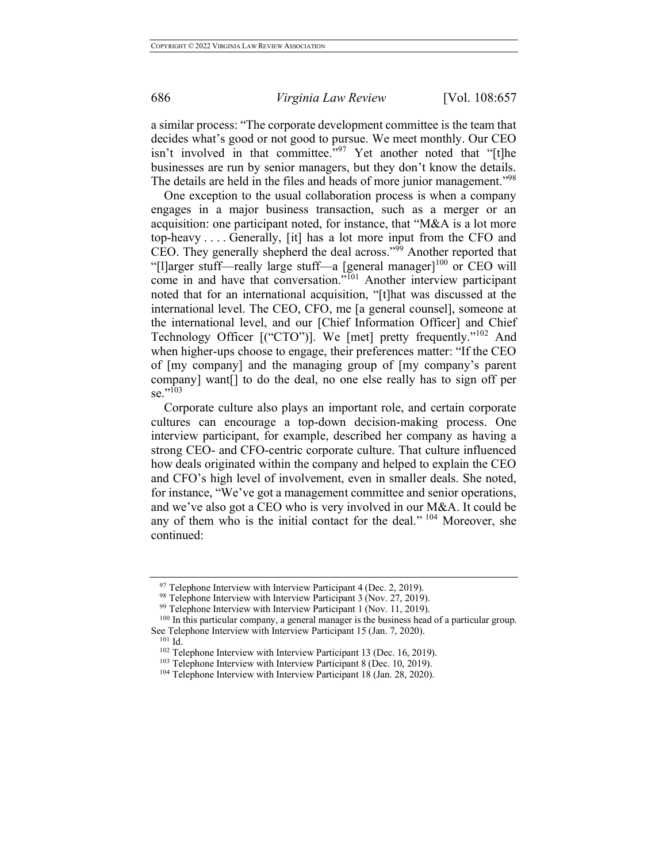a similar process: "The corporate development committee is the team that decides what's good or not good to pursue. We meet monthly. Our CEO isn't involved in that committee."<sup>97</sup> Yet another noted that "[t]he businesses are run by senior managers, but they don't know the details. The details are held in the files and heads of more junior management.<sup>"98</sup>

One exception to the usual collaboration process is when a company engages in a major business transaction, such as a merger or an acquisition: one participant noted, for instance, that "M&A is a lot more top-heavy . . . . Generally, [it] has a lot more input from the CFO and CEO. They generally shepherd the deal across."<sup>99</sup> Another reported that "[l]arger stuff—really large stuff—a [general manager]<sup>100</sup> or CEO will come in and have that conversation."<sup>101</sup> Another interview participant noted that for an international acquisition, "[t]hat was discussed at the international level. The CEO, CFO, me [a general counsel], someone at the international level, and our [Chief Information Officer] and Chief Technology Officer [("CTO")]. We [met] pretty frequently."<sup>102</sup> And when higher-ups choose to engage, their preferences matter: "If the CEO of [my company] and the managing group of [my company's parent company] want[] to do the deal, no one else really has to sign off per se."<sup>103</sup>

Corporate culture also plays an important role, and certain corporate cultures can encourage a top-down decision-making process. One interview participant, for example, described her company as having a strong CEO- and CFO-centric corporate culture. That culture influenced how deals originated within the company and helped to explain the CEO and CFO's high level of involvement, even in smaller deals. She noted, for instance, "We've got a management committee and senior operations, and we've also got a CEO who is very involved in our M&A. It could be any of them who is the initial contact for the deal." <sup>104</sup> Moreover, she continued:

<sup>&</sup>lt;sup>97</sup> Telephone Interview with Interview Participant 4 (Dec. 2, 2019).<br><sup>98</sup> Telephone Interview with Interview Participant 3 (Nov. 27, 2019).

<sup>&</sup>lt;sup>99</sup> Telephone Interview with Interview Participant 1 (Nov. 11, 2019).

<sup>&</sup>lt;sup>100</sup> In this particular company, a general manager is the business head of a particular group. See Telephone Interview with Interview Participant 15 (Jan. 7, 2020).

 $101$  Id.<br> $102$  Telephone Interview with Interview Participant 13 (Dec. 16, 2019).

<sup>&</sup>lt;sup>103</sup> Telephone Interview with Interview Participant 8 (Dec. 10, 2019).<br><sup>104</sup> Telephone Interview with Interview Participant 18 (Jan. 28, 2020).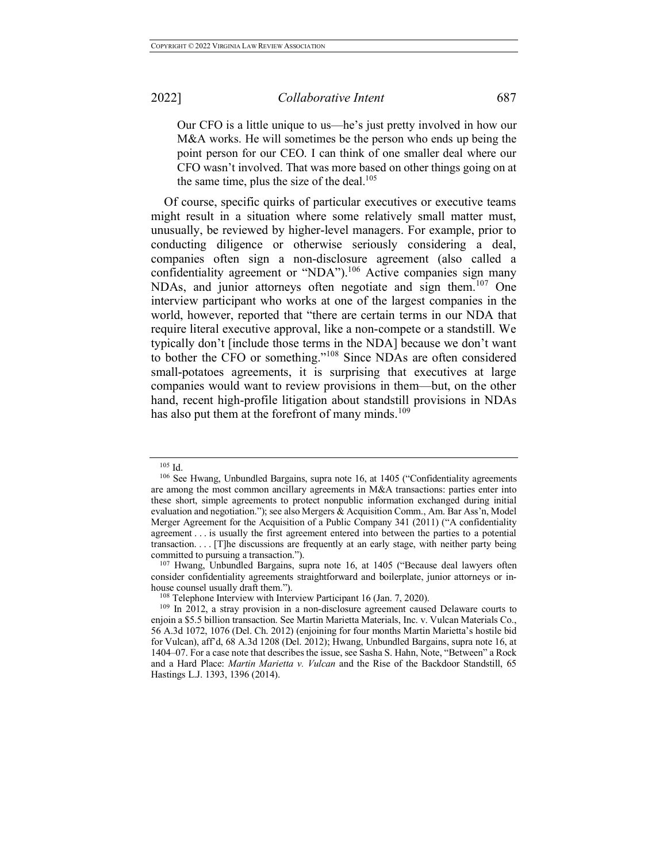Our CFO is a little unique to us—he's just pretty involved in how our M&A works. He will sometimes be the person who ends up being the point person for our CEO. I can think of one smaller deal where our CFO wasn't involved. That was more based on other things going on at the same time, plus the size of the deal. $105$ 

Of course, specific quirks of particular executives or executive teams might result in a situation where some relatively small matter must, unusually, be reviewed by higher-level managers. For example, prior to conducting diligence or otherwise seriously considering a deal, companies often sign a non-disclosure agreement (also called a confidentiality agreement or "NDA").<sup>106</sup> Active companies sign many NDAs, and junior attorneys often negotiate and sign them.<sup>107</sup> One interview participant who works at one of the largest companies in the world, however, reported that "there are certain terms in our NDA that require literal executive approval, like a non-compete or a standstill. We typically don't [include those terms in the NDA] because we don't want to bother the CFO or something."<sup>108</sup> Since NDAs are often considered small-potatoes agreements, it is surprising that executives at large companies would want to review provisions in them—but, on the other hand, recent high-profile litigation about standstill provisions in NDAs has also put them at the forefront of many minds.<sup>109</sup>

<sup>&</sup>lt;sup>105</sup> Id.<br><sup>106</sup> See Hwang, Unbundled Bargains, supra note 16, at 1405 ("Confidentiality agreements are among the most common ancillary agreements in M&A transactions: parties enter into these short, simple agreements to protect nonpublic information exchanged during initial evaluation and negotiation."); see also Mergers & Acquisition Comm., Am. Bar Ass'n, Model Merger Agreement for the Acquisition of a Public Company 341 (2011) ("A confidentiality agreement . . . is usually the first agreement entered into between the parties to a potential transaction. . . . [T]he discussions are frequently at an early stage, with neither party being committed to pursuing a transaction.").

<sup>107</sup> Hwang, Unbundled Bargains, supra note 16, at 1405 ("Because deal lawyers often consider confidentiality agreements straightforward and boilerplate, junior attorneys or inhouse counsel usually draft them.").<br><sup>108</sup> Telephone Interview with Interview Participant 16 (Jan. 7, 2020).<br><sup>109</sup> In 2012, a stray provision in a non-disclosure agreement caused Delaware courts to

enjoin a \$5.5 billion transaction. See Martin Marietta Materials, Inc. v. Vulcan Materials Co., 56 A.3d 1072, 1076 (Del. Ch. 2012) (enjoining for four months Martin Marietta's hostile bid for Vulcan), aff'd, 68 A.3d 1208 (Del. 2012); Hwang, Unbundled Bargains, supra note 16, at 1404–07. For a case note that describes the issue, see Sasha S. Hahn, Note, "Between" a Rock and a Hard Place: *Martin Marietta v. Vulcan* and the Rise of the Backdoor Standstill, 65 Hastings L.J. 1393, 1396 (2014).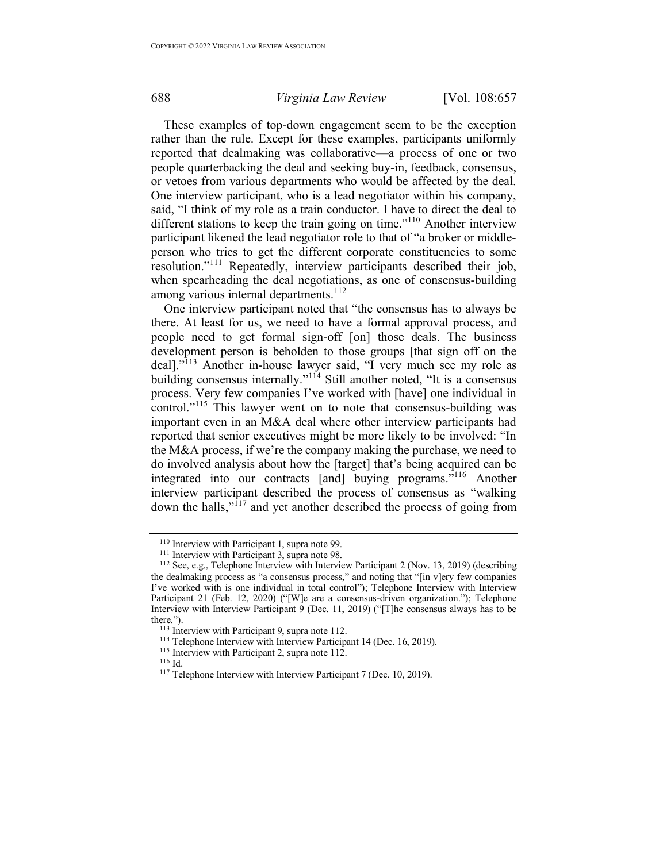These examples of top-down engagement seem to be the exception rather than the rule. Except for these examples, participants uniformly reported that dealmaking was collaborative—a process of one or two people quarterbacking the deal and seeking buy-in, feedback, consensus, or vetoes from various departments who would be affected by the deal. One interview participant, who is a lead negotiator within his company, said, "I think of my role as a train conductor. I have to direct the deal to different stations to keep the train going on time."<sup>110</sup> Another interview participant likened the lead negotiator role to that of "a broker or middleperson who tries to get the different corporate constituencies to some resolution."<sup>111</sup> Repeatedly, interview participants described their job, when spearheading the deal negotiations, as one of consensus-building among various internal departments.<sup>112</sup>

One interview participant noted that "the consensus has to always be there. At least for us, we need to have a formal approval process, and people need to get formal sign-off [on] those deals. The business development person is beholden to those groups [that sign off on the deal]."<sup>113</sup> Another in-house lawyer said, "I very much see my role as building consensus internally."<sup>114</sup> Still another noted, "It is a consensus process. Very few companies I've worked with [have] one individual in control."<sup>115</sup> This lawyer went on to note that consensus-building was important even in an M&A deal where other interview participants had reported that senior executives might be more likely to be involved: "In the M&A process, if we're the company making the purchase, we need to do involved analysis about how the [target] that's being acquired can be integrated into our contracts [and] buying programs."116 Another interview participant described the process of consensus as "walking down the halls,"<sup>117</sup> and yet another described the process of going from

<sup>&</sup>lt;sup>110</sup> Interview with Participant 1, supra note 99.<br><sup>111</sup> Interview with Participant 3, supra note 98.

<sup>112</sup> See, e.g., Telephone Interview with Interview Participant 2 (Nov. 13, 2019) (describing the dealmaking process as "a consensus process," and noting that "[in v]ery few companies I've worked with is one individual in total control"); Telephone Interview with Interview Participant 21 (Feb. 12, 2020) ("[W]e are a consensus-driven organization."); Telephone Interview with Interview Participant 9 (Dec. 11, 2019) ("[T]he consensus always has to be there.").<br>
<sup>113</sup> Interview with Participant 9, supra note 112.<br>
<sup>114</sup> Telephone Interview with Interview Participant 14 (Dec. 16, 2019).<br>
<sup>115</sup> Interview with Participant 2, supra note 112.<br>
<sup>116</sup> Id.<br>
<sup>117</sup> Telephone Inte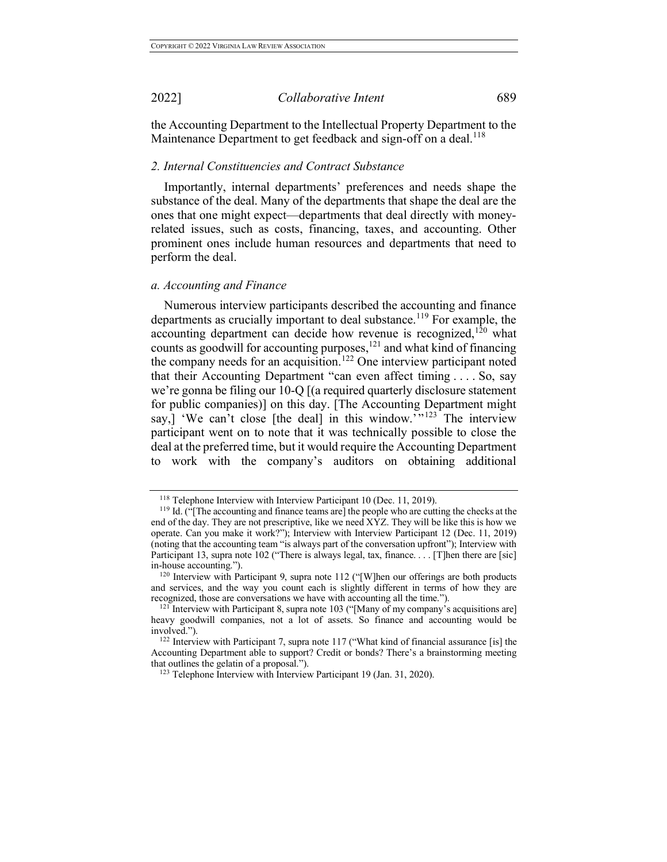the Accounting Department to the Intellectual Property Department to the Maintenance Department to get feedback and sign-off on a deal.<sup>118</sup>

### *2. Internal Constituencies and Contract Substance*

Importantly, internal departments' preferences and needs shape the substance of the deal. Many of the departments that shape the deal are the ones that one might expect—departments that deal directly with moneyrelated issues, such as costs, financing, taxes, and accounting. Other prominent ones include human resources and departments that need to perform the deal.

#### *a. Accounting and Finance*

Numerous interview participants described the accounting and finance departments as crucially important to deal substance.<sup>119</sup> For example, the accounting department can decide how revenue is recognized,<sup>120</sup> what counts as goodwill for accounting purposes, $121$  and what kind of financing the company needs for an acquisition.<sup>122</sup> One interview participant noted that their Accounting Department "can even affect timing . . . . So, say we're gonna be filing our 10-Q [(a required quarterly disclosure statement for public companies)] on this day. [The Accounting Department might say,] 'We can't close [the deal] in this window.'"<sup>123</sup> The interview participant went on to note that it was technically possible to close the deal at the preferred time, but it would require the Accounting Department to work with the company's auditors on obtaining additional

<sup>&</sup>lt;sup>118</sup> Telephone Interview with Interview Participant 10 (Dec. 11, 2019).

 $119$  Id. ( $119$ ) The accounting and finance teams are the people who are cutting the checks at the end of the day. They are not prescriptive, like we need XYZ. They will be like this is how we operate. Can you make it work?"); Interview with Interview Participant 12 (Dec. 11, 2019) (noting that the accounting team "is always part of the conversation upfront"); Interview with Participant 13, supra note 102 ("There is always legal, tax, finance... . [T]hen there are [sic] in-house accounting.").<br><sup>120</sup> Interview with Participant 9, supra note 112 ("[W]hen our offerings are both products

and services, and the way you count each is slightly different in terms of how they are recognized, those are conversations we have with accounting all the time.").

<sup>&</sup>lt;sup>121</sup> Interview with Participant 8, supra note 103 ("[Many of my company's acquisitions are] heavy goodwill companies, not a lot of assets. So finance and accounting would be involved.").

<sup>&</sup>lt;sup>122</sup> Interview with Participant 7, supra note 117 ("What kind of financial assurance [is] the Accounting Department able to support? Credit or bonds? There's a brainstorming meeting that outlines the gelatin of a proposal.").

<sup>&</sup>lt;sup>123</sup> Telephone Interview with Interview Participant 19 (Jan. 31, 2020).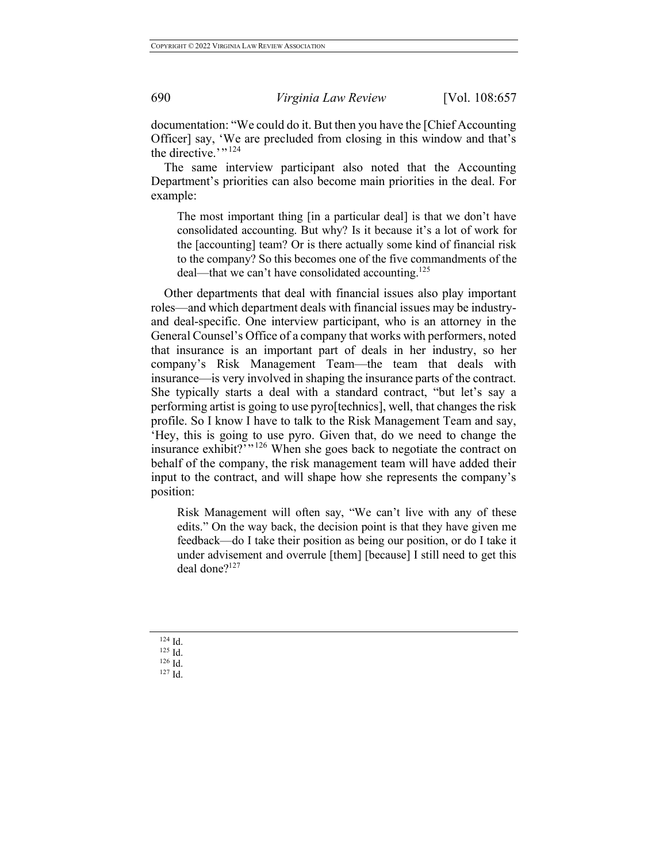documentation: "We could do it. But then you have the [Chief Accounting Officer] say, 'We are precluded from closing in this window and that's the directive.'"<sup>124</sup>

The same interview participant also noted that the Accounting Department's priorities can also become main priorities in the deal. For example:

The most important thing [in a particular deal] is that we don't have consolidated accounting. But why? Is it because it's a lot of work for the [accounting] team? Or is there actually some kind of financial risk to the company? So this becomes one of the five commandments of the deal—that we can't have consolidated accounting.<sup>125</sup>

Other departments that deal with financial issues also play important roles—and which department deals with financial issues may be industryand deal-specific. One interview participant, who is an attorney in the General Counsel's Office of a company that works with performers, noted that insurance is an important part of deals in her industry, so her company's Risk Management Team—the team that deals with insurance—is very involved in shaping the insurance parts of the contract. She typically starts a deal with a standard contract, "but let's say a performing artist is going to use pyro[technics], well, that changes the risk profile. So I know I have to talk to the Risk Management Team and say, 'Hey, this is going to use pyro. Given that, do we need to change the insurance exhibit?<sup>"</sup><sup>26</sup> When she goes back to negotiate the contract on behalf of the company, the risk management team will have added their input to the contract, and will shape how she represents the company's position:

Risk Management will often say, "We can't live with any of these edits." On the way back, the decision point is that they have given me feedback—do I take their position as being our position, or do I take it under advisement and overrule [them] [because] I still need to get this deal done?<sup>127</sup>

124 Id.<br>
<sup>125</sup> Id.<br>
<sup>126</sup> Id.<br>
<sup>127</sup> Id.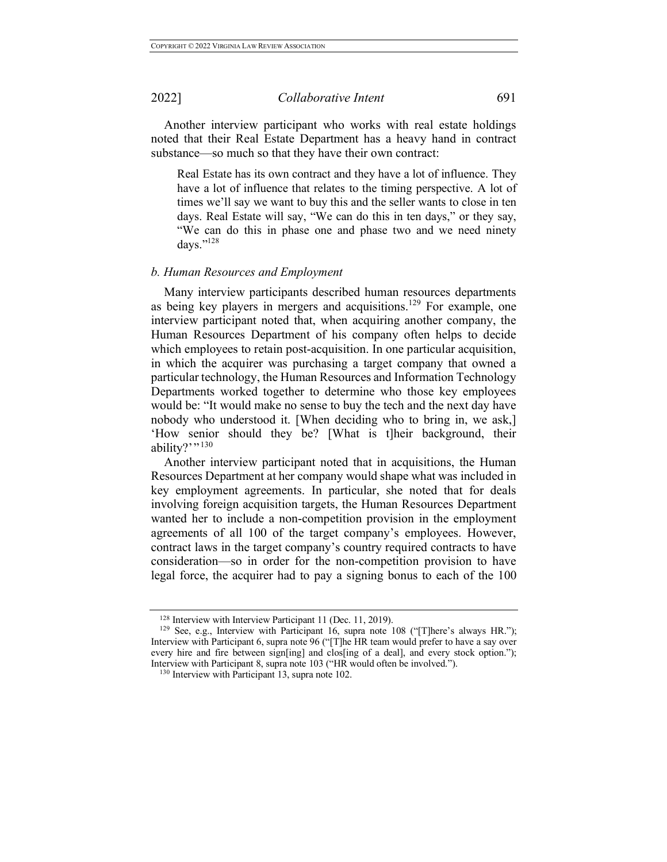Another interview participant who works with real estate holdings noted that their Real Estate Department has a heavy hand in contract substance—so much so that they have their own contract:

Real Estate has its own contract and they have a lot of influence. They have a lot of influence that relates to the timing perspective. A lot of times we'll say we want to buy this and the seller wants to close in ten days. Real Estate will say, "We can do this in ten days," or they say, "We can do this in phase one and phase two and we need ninety days."128

#### *b. Human Resources and Employment*

Many interview participants described human resources departments as being key players in mergers and acquisitions.<sup>129</sup> For example, one interview participant noted that, when acquiring another company, the Human Resources Department of his company often helps to decide which employees to retain post-acquisition. In one particular acquisition, in which the acquirer was purchasing a target company that owned a particular technology, the Human Resources and Information Technology Departments worked together to determine who those key employees would be: "It would make no sense to buy the tech and the next day have nobody who understood it. [When deciding who to bring in, we ask,] 'How senior should they be? [What is t]heir background, their ability?"<sup>130</sup>

Another interview participant noted that in acquisitions, the Human Resources Department at her company would shape what was included in key employment agreements. In particular, she noted that for deals involving foreign acquisition targets, the Human Resources Department wanted her to include a non-competition provision in the employment agreements of all 100 of the target company's employees. However, contract laws in the target company's country required contracts to have consideration—so in order for the non-competition provision to have legal force, the acquirer had to pay a signing bonus to each of the 100

<sup>&</sup>lt;sup>128</sup> Interview with Interview Participant 11 (Dec. 11, 2019).

<sup>&</sup>lt;sup>129</sup> See, e.g., Interview with Participant 16, supra note 108 ("[T]here's always HR."); Interview with Participant 6, supra note 96 ("[T]he HR team would prefer to have a say over every hire and fire between sign[ing] and clos[ing of a deal], and every stock option."); Interview with Participant 8, supra note 103 ("HR would often be involved.").

<sup>&</sup>lt;sup>130</sup> Interview with Participant 13, supra note 102.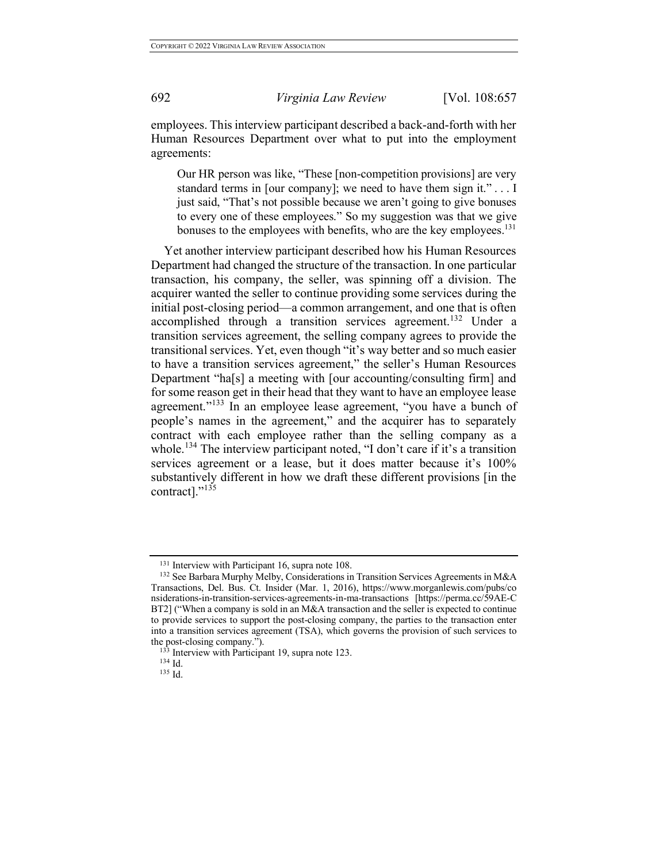employees. This interview participant described a back-and-forth with her Human Resources Department over what to put into the employment agreements:

Our HR person was like, "These [non-competition provisions] are very standard terms in [our company]; we need to have them sign it." . . . I just said, "That's not possible because we aren't going to give bonuses to every one of these employees." So my suggestion was that we give bonuses to the employees with benefits, who are the key employees.<sup>131</sup>

Yet another interview participant described how his Human Resources Department had changed the structure of the transaction. In one particular transaction, his company, the seller, was spinning off a division. The acquirer wanted the seller to continue providing some services during the initial post-closing period—a common arrangement, and one that is often accomplished through a transition services agreement.<sup>132</sup> Under a transition services agreement, the selling company agrees to provide the transitional services. Yet, even though "it's way better and so much easier to have a transition services agreement," the seller's Human Resources Department "ha[s] a meeting with [our accounting/consulting firm] and for some reason get in their head that they want to have an employee lease agreement."<sup>133</sup> In an employee lease agreement, "you have a bunch of people's names in the agreement," and the acquirer has to separately contract with each employee rather than the selling company as a whole.<sup>134</sup> The interview participant noted, "I don't care if it's a transition services agreement or a lease, but it does matter because it's 100% substantively different in how we draft these different provisions [in the contract]."<sup>135</sup>

<sup>&</sup>lt;sup>131</sup> Interview with Participant 16, supra note 108.<br><sup>132</sup> See Barbara Murphy Melby, Considerations in Transition Services Agreements in M&A Transactions, Del. Bus. Ct. Insider (Mar. 1, 2016), https://www.morganlewis.com/pubs/co nsiderations-in-transition-services-agreements-in-ma-transactions [https://perma.cc/59AE-C BT2] ("When a company is sold in an M&A transaction and the seller is expected to continue to provide services to support the post-closing company, the parties to the transaction enter into a transition services agreement (TSA), which governs the provision of such services to the post-closing company.").

<sup>&</sup>lt;sup>133</sup> Interview with Participant 19, supra note 123.

<sup>134</sup> Id. <sup>135</sup> Id.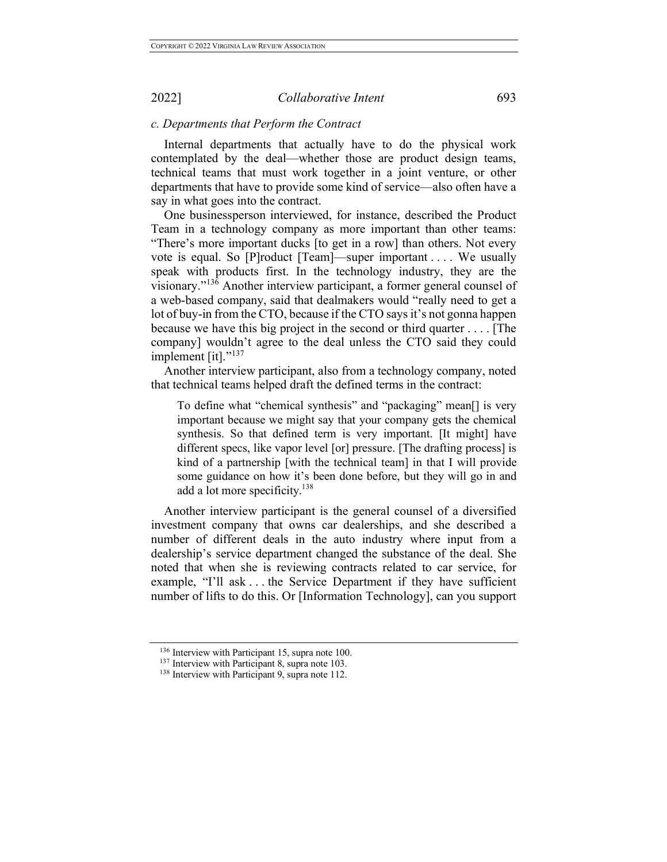#### *c. Departments that Perform the Contract*

Internal departments that actually have to do the physical work contemplated by the deal—whether those are product design teams, technical teams that must work together in a joint venture, or other departments that have to provide some kind of service—also often have a say in what goes into the contract.

One businessperson interviewed, for instance, described the Product Team in a technology company as more important than other teams: "There's more important ducks [to get in a row] than others. Not every vote is equal. So [P]roduct [Team]—super important . . . . We usually speak with products first. In the technology industry, they are the visionary."<sup>136</sup> Another interview participant, a former general counsel of a web-based company, said that dealmakers would "really need to get a lot of buy-in from the CTO, because if the CTO says it's not gonna happen because we have this big project in the second or third quarter . . . . [The company] wouldn't agree to the deal unless the CTO said they could implement  $\left[$ it $\right]$ ."<sup>137</sup>

Another interview participant, also from a technology company, noted that technical teams helped draft the defined terms in the contract:

To define what "chemical synthesis" and "packaging" mean[] is very important because we might say that your company gets the chemical synthesis. So that defined term is very important. [It might] have different specs, like vapor level [or] pressure. [The drafting process] is kind of a partnership [with the technical team] in that I will provide some guidance on how it's been done before, but they will go in and add a lot more specificity.<sup>138</sup>

Another interview participant is the general counsel of a diversified investment company that owns car dealerships, and she described a number of different deals in the auto industry where input from a dealership's service department changed the substance of the deal. She noted that when she is reviewing contracts related to car service, for example, "I'll ask . . . the Service Department if they have sufficient number of lifts to do this. Or [Information Technology], can you support

 $136$  Interview with Participant 15, supra note 100.<br> $137$  Interview with Participant 8, supra note 103.

<sup>&</sup>lt;sup>138</sup> Interview with Participant 9, supra note 112.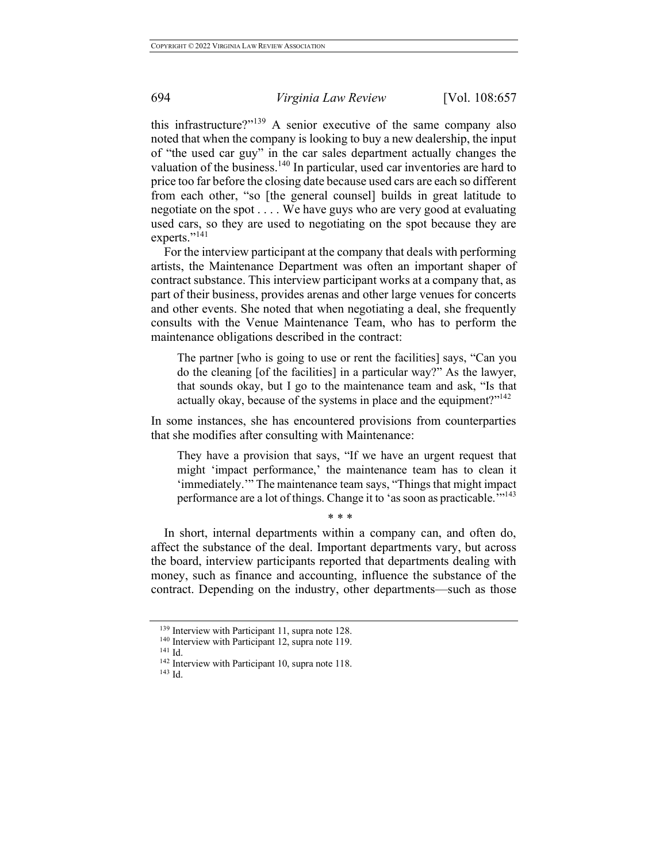this infrastructure?"<sup>139</sup> A senior executive of the same company also noted that when the company is looking to buy a new dealership, the input of "the used car guy" in the car sales department actually changes the valuation of the business.<sup>140</sup> In particular, used car inventories are hard to price too far before the closing date because used cars are each so different from each other, "so [the general counsel] builds in great latitude to negotiate on the spot . . . . We have guys who are very good at evaluating used cars, so they are used to negotiating on the spot because they are experts."<sup>141</sup>

For the interview participant at the company that deals with performing artists, the Maintenance Department was often an important shaper of contract substance. This interview participant works at a company that, as part of their business, provides arenas and other large venues for concerts and other events. She noted that when negotiating a deal, she frequently consults with the Venue Maintenance Team, who has to perform the maintenance obligations described in the contract:

The partner [who is going to use or rent the facilities] says, "Can you do the cleaning [of the facilities] in a particular way?" As the lawyer, that sounds okay, but I go to the maintenance team and ask, "Is that actually okay, because of the systems in place and the equipment?" $142$ 

In some instances, she has encountered provisions from counterparties that she modifies after consulting with Maintenance:

They have a provision that says, "If we have an urgent request that might 'impact performance,' the maintenance team has to clean it 'immediately.'" The maintenance team says, "Things that might impact performance are a lot of things. Change it to 'as soon as practicable.'"143

\* \* \*

In short, internal departments within a company can, and often do, affect the substance of the deal. Important departments vary, but across the board, interview participants reported that departments dealing with money, such as finance and accounting, influence the substance of the contract. Depending on the industry, other departments—such as those

 $139$  Interview with Participant 11, supra note 128.<br> $140$  Interview with Participant 12, supra note 119.

<sup>&</sup>lt;sup>141</sup> Id.  $142$  Interview with Participant 10, supra note 118.  $143$  Id.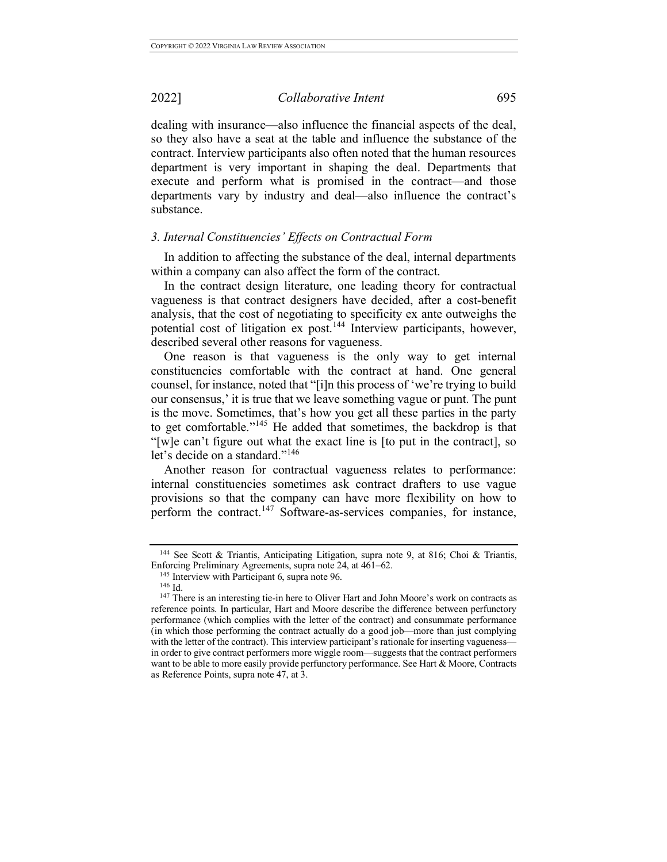dealing with insurance—also influence the financial aspects of the deal, so they also have a seat at the table and influence the substance of the contract. Interview participants also often noted that the human resources department is very important in shaping the deal. Departments that execute and perform what is promised in the contract—and those departments vary by industry and deal—also influence the contract's substance.

# *3. Internal Constituencies' Effects on Contractual Form*

In addition to affecting the substance of the deal, internal departments within a company can also affect the form of the contract.

In the contract design literature, one leading theory for contractual vagueness is that contract designers have decided, after a cost-benefit analysis, that the cost of negotiating to specificity ex ante outweighs the potential cost of litigation ex post.<sup>144</sup> Interview participants, however, described several other reasons for vagueness.

One reason is that vagueness is the only way to get internal constituencies comfortable with the contract at hand. One general counsel, for instance, noted that "[i]n this process of 'we're trying to build our consensus,' it is true that we leave something vague or punt. The punt is the move. Sometimes, that's how you get all these parties in the party to get comfortable."<sup>145</sup> He added that sometimes, the backdrop is that "[w]e can't figure out what the exact line is [to put in the contract], so let's decide on a standard."<sup>146</sup>

Another reason for contractual vagueness relates to performance: internal constituencies sometimes ask contract drafters to use vague provisions so that the company can have more flexibility on how to perform the contract.<sup>147</sup> Software-as-services companies, for instance,

<sup>&</sup>lt;sup>144</sup> See Scott & Triantis, Anticipating Litigation, supra note 9, at 816; Choi & Triantis, Enforcing Preliminary Agreements, supra note 24, at 461–62.<br><sup>145</sup> Interview with Participant 6, supra note 96.

 $146$  Id.

<sup>&</sup>lt;sup>147</sup> There is an interesting tie-in here to Oliver Hart and John Moore's work on contracts as reference points. In particular, Hart and Moore describe the difference between perfunctory performance (which complies with the letter of the contract) and consummate performance (in which those performing the contract actually do a good job—more than just complying with the letter of the contract). This interview participant's rationale for inserting vagueness in order to give contract performers more wiggle room—suggests that the contract performers want to be able to more easily provide perfunctory performance. See Hart & Moore, Contracts as Reference Points, supra note 47, at 3.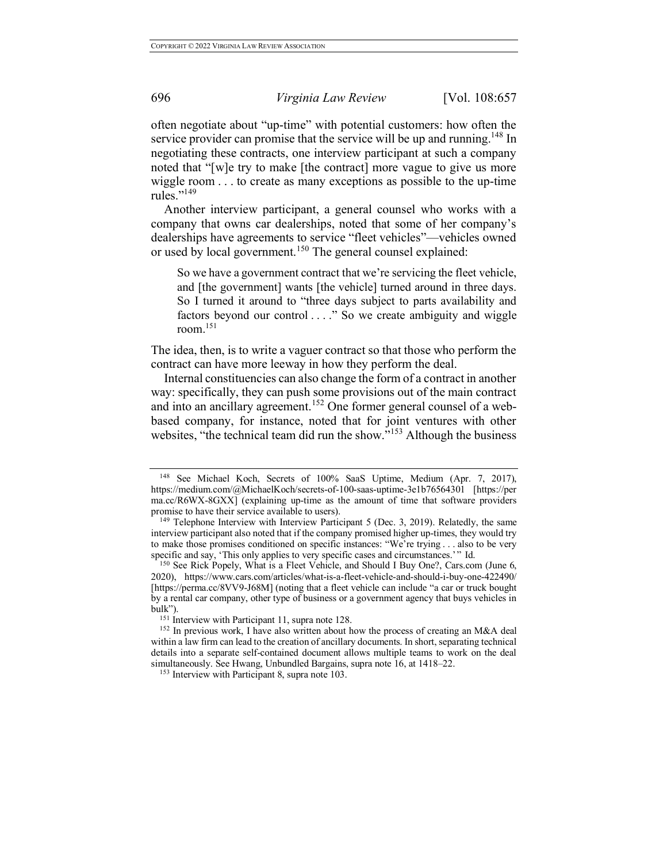often negotiate about "up-time" with potential customers: how often the service provider can promise that the service will be up and running.<sup>148</sup> In negotiating these contracts, one interview participant at such a company noted that "[w]e try to make [the contract] more vague to give us more wiggle room . . . to create as many exceptions as possible to the up-time rules."149

Another interview participant, a general counsel who works with a company that owns car dealerships, noted that some of her company's dealerships have agreements to service "fleet vehicles"—vehicles owned or used by local government.<sup>150</sup> The general counsel explained:

So we have a government contract that we're servicing the fleet vehicle, and [the government] wants [the vehicle] turned around in three days. So I turned it around to "three days subject to parts availability and factors beyond our control . . . . " So we create ambiguity and wiggle room. $151$ 

The idea, then, is to write a vaguer contract so that those who perform the contract can have more leeway in how they perform the deal.

Internal constituencies can also change the form of a contract in another way: specifically, they can push some provisions out of the main contract and into an ancillary agreement.<sup>152</sup> One former general counsel of a webbased company, for instance, noted that for joint ventures with other websites, "the technical team did run the show."<sup>153</sup> Although the business

<sup>148</sup> See Michael Koch, Secrets of 100% SaaS Uptime, Medium (Apr. 7, 2017), https://medium.com/@MichaelKoch/secrets-of-100-saas-uptime-3e1b76564301 [https://per ma.cc/R6WX-8GXX] (explaining up-time as the amount of time that software providers promise to have their service available to users).<br><sup>149</sup> Telephone Interview with Interview Participant 5 (Dec. 3, 2019). Relatedly, the same

interview participant also noted that if the company promised higher up-times, they would try to make those promises conditioned on specific instances: "We're trying . . . also to be very specific and say, 'This only applies to very specific cases and circumstances.'" Id.

 $150$  See Rick Popely, What is a Fleet Vehicle, and Should I Buy One?, Cars.com (June 6, 2020), https://www.cars.com/articles/what-is-a-fleet-vehicle-and-should-i-buy-one-422490/ [https://perma.cc/8VV9-J68M] (noting that a fleet vehicle can include "a car or truck bought by a rental car company, other type of business or a government agency that buys vehicles in bulk").<br><sup>151</sup> Interview with Participant 11, supra note 128.

 $152$  In previous work, I have also written about how the process of creating an M&A deal within a law firm can lead to the creation of ancillary documents. In short, separating technical details into a separate self-contained document allows multiple teams to work on the deal simultaneously. See Hwang, Unbundled Bargains, supra note 16, at 1418–22.

<sup>&</sup>lt;sup>153</sup> Interview with Participant 8, supra note 103.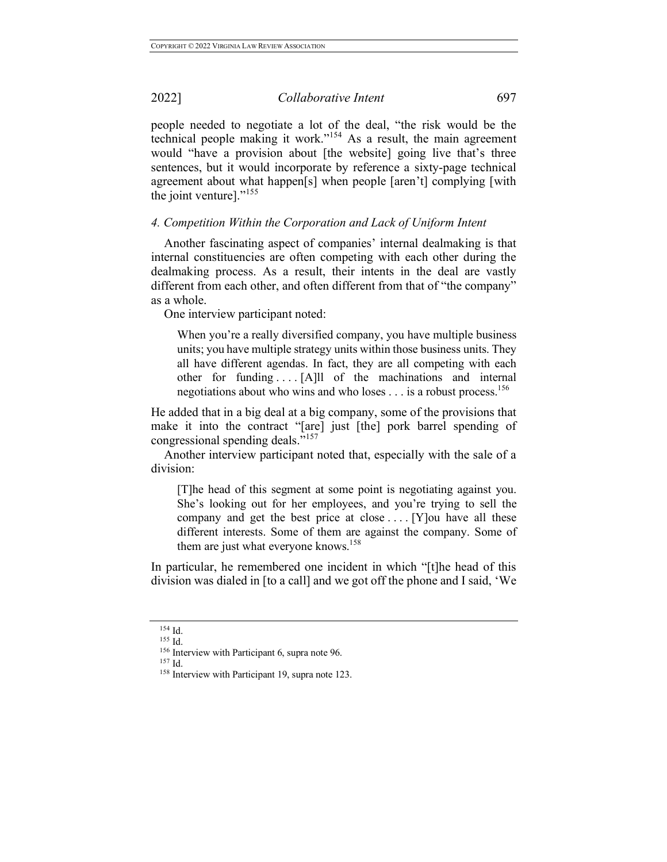people needed to negotiate a lot of the deal, "the risk would be the technical people making it work."<sup>154</sup> As a result, the main agreement would "have a provision about [the website] going live that's three sentences, but it would incorporate by reference a sixty-page technical agreement about what happen[s] when people [aren't] complying [with the joint venture]."<sup>155</sup>

### *4. Competition Within the Corporation and Lack of Uniform Intent*

Another fascinating aspect of companies' internal dealmaking is that internal constituencies are often competing with each other during the dealmaking process. As a result, their intents in the deal are vastly different from each other, and often different from that of "the company" as a whole.

One interview participant noted:

When you're a really diversified company, you have multiple business units; you have multiple strategy units within those business units. They all have different agendas. In fact, they are all competing with each other for funding . . . . [A]ll of the machinations and internal negotiations about who wins and who loses . . . is a robust process.<sup>156</sup>

He added that in a big deal at a big company, some of the provisions that make it into the contract "[are] just [the] pork barrel spending of congressional spending deals."<sup>157</sup>

Another interview participant noted that, especially with the sale of a division:

[T]he head of this segment at some point is negotiating against you. She's looking out for her employees, and you're trying to sell the company and get the best price at close . . . . [Y]ou have all these different interests. Some of them are against the company. Some of them are just what everyone knows.<sup>158</sup>

In particular, he remembered one incident in which "[t]he head of this division was dialed in [to a call] and we got off the phone and I said, 'We

<sup>154</sup> Id. <sup>155</sup> Id.

<sup>&</sup>lt;sup>156</sup> Interview with Participant 6, supra note 96.<br> $157$  Id

<sup>&</sup>lt;sup>158</sup> Interview with Participant 19, supra note 123.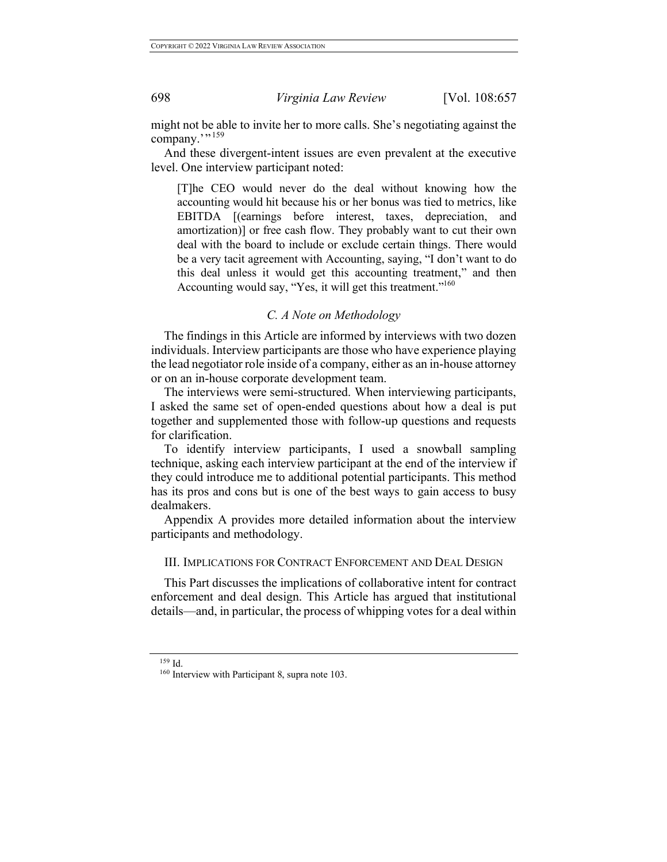might not be able to invite her to more calls. She's negotiating against the company.""<sup>159</sup>

And these divergent-intent issues are even prevalent at the executive level. One interview participant noted:

[T]he CEO would never do the deal without knowing how the accounting would hit because his or her bonus was tied to metrics, like EBITDA [(earnings before interest, taxes, depreciation, and amortization)] or free cash flow. They probably want to cut their own deal with the board to include or exclude certain things. There would be a very tacit agreement with Accounting, saying, "I don't want to do this deal unless it would get this accounting treatment," and then Accounting would say, "Yes, it will get this treatment."<sup>160</sup>

### *C. A Note on Methodology*

The findings in this Article are informed by interviews with two dozen individuals. Interview participants are those who have experience playing the lead negotiator role inside of a company, either as an in-house attorney or on an in-house corporate development team.

The interviews were semi-structured. When interviewing participants, I asked the same set of open-ended questions about how a deal is put together and supplemented those with follow-up questions and requests for clarification.

To identify interview participants, I used a snowball sampling technique, asking each interview participant at the end of the interview if they could introduce me to additional potential participants. This method has its pros and cons but is one of the best ways to gain access to busy dealmakers.

Appendix A provides more detailed information about the interview participants and methodology.

### III. IMPLICATIONS FOR CONTRACT ENFORCEMENT AND DEAL DESIGN

This Part discusses the implications of collaborative intent for contract enforcement and deal design. This Article has argued that institutional details—and, in particular, the process of whipping votes for a deal within

<sup>159</sup> Id.

<sup>&</sup>lt;sup>160</sup> Interview with Participant 8, supra note 103.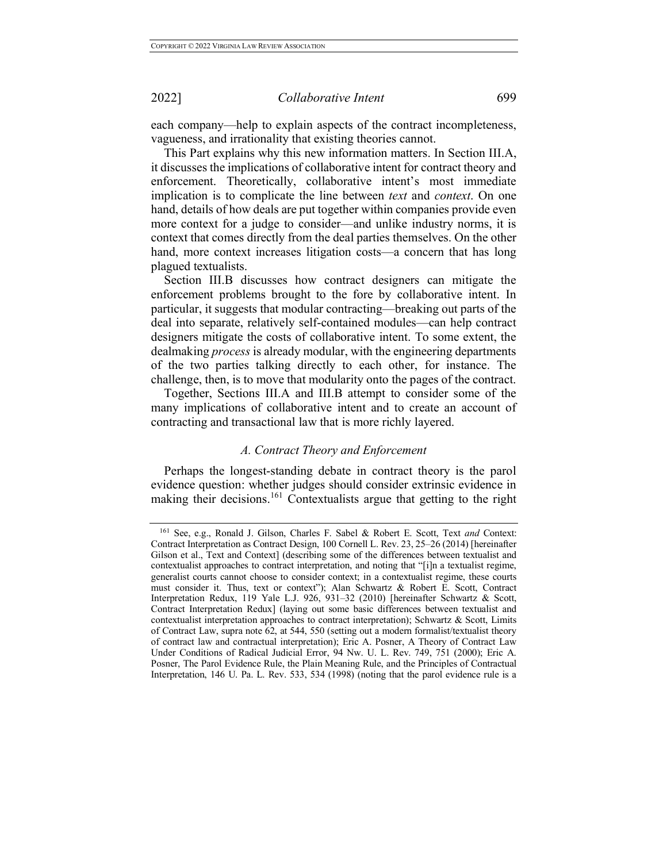each company—help to explain aspects of the contract incompleteness, vagueness, and irrationality that existing theories cannot.

This Part explains why this new information matters. In Section III.A, it discusses the implications of collaborative intent for contract theory and enforcement. Theoretically, collaborative intent's most immediate implication is to complicate the line between *text* and *context*. On one hand, details of how deals are put together within companies provide even more context for a judge to consider—and unlike industry norms, it is context that comes directly from the deal parties themselves. On the other hand, more context increases litigation costs—a concern that has long plagued textualists.

Section III.B discusses how contract designers can mitigate the enforcement problems brought to the fore by collaborative intent. In particular, it suggests that modular contracting—breaking out parts of the deal into separate, relatively self-contained modules—can help contract designers mitigate the costs of collaborative intent. To some extent, the dealmaking *process* is already modular, with the engineering departments of the two parties talking directly to each other, for instance. The challenge, then, is to move that modularity onto the pages of the contract.

Together, Sections III.A and III.B attempt to consider some of the many implications of collaborative intent and to create an account of contracting and transactional law that is more richly layered.

### *A. Contract Theory and Enforcement*

Perhaps the longest-standing debate in contract theory is the parol evidence question: whether judges should consider extrinsic evidence in making their decisions.<sup>161</sup> Contextualists argue that getting to the right

<sup>161</sup> See, e.g., Ronald J. Gilson, Charles F. Sabel & Robert E. Scott, Text *and* Context: Contract Interpretation as Contract Design, 100 Cornell L. Rev. 23, 25–26 (2014) [hereinafter Gilson et al., Text and Context] (describing some of the differences between textualist and contextualist approaches to contract interpretation, and noting that "[i]n a textualist regime, generalist courts cannot choose to consider context; in a contextualist regime, these courts must consider it. Thus, text or context"); Alan Schwartz & Robert E. Scott, Contract Interpretation Redux, 119 Yale L.J. 926, 931–32 (2010) [hereinafter Schwartz & Scott, Contract Interpretation Redux] (laying out some basic differences between textualist and contextualist interpretation approaches to contract interpretation); Schwartz  $\&$  Scott, Limits of Contract Law, supra note 62, at 544, 550 (setting out a modern formalist/textualist theory of contract law and contractual interpretation); Eric A. Posner, A Theory of Contract Law Under Conditions of Radical Judicial Error, 94 Nw. U. L. Rev. 749, 751 (2000); Eric A. Posner, The Parol Evidence Rule, the Plain Meaning Rule, and the Principles of Contractual Interpretation, 146 U. Pa. L. Rev. 533, 534 (1998) (noting that the parol evidence rule is a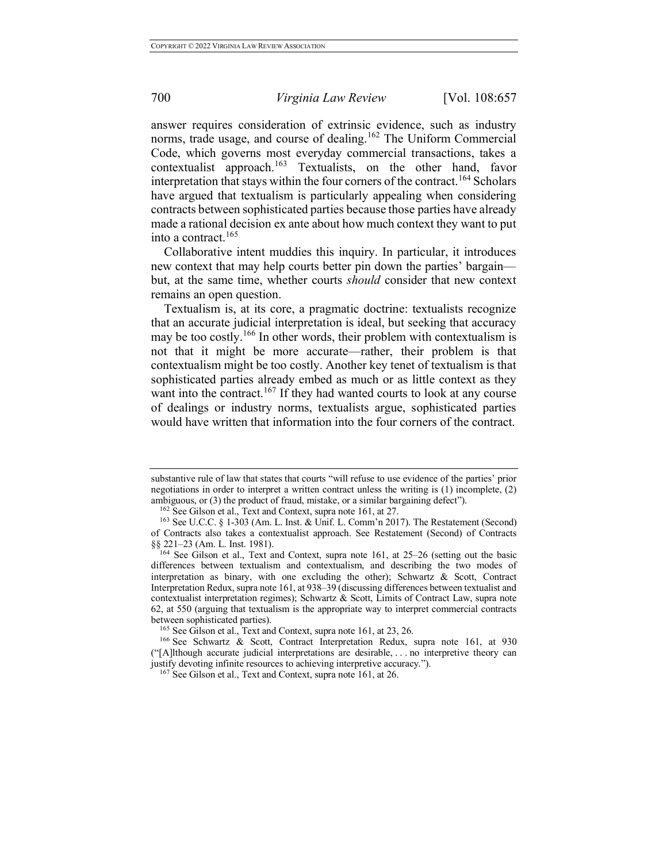answer requires consideration of extrinsic evidence, such as industry norms, trade usage, and course of dealing.<sup>162</sup> The Uniform Commercial Code, which governs most everyday commercial transactions, takes a contextualist approach.<sup>163</sup> Textualists, on the other hand, favor interpretation that stays within the four corners of the contract.<sup>164</sup> Scholars have argued that textualism is particularly appealing when considering contracts between sophisticated parties because those parties have already made a rational decision ex ante about how much context they want to put into a contract. $165$ 

Collaborative intent muddies this inquiry. In particular, it introduces new context that may help courts better pin down the parties' bargain but, at the same time, whether courts *should* consider that new context remains an open question.

Textualism is, at its core, a pragmatic doctrine: textualists recognize that an accurate judicial interpretation is ideal, but seeking that accuracy may be too costly.<sup>166</sup> In other words, their problem with contextualism is not that it might be more accurate—rather, their problem is that contextualism might be too costly. Another key tenet of textualism is that sophisticated parties already embed as much or as little context as they want into the contract.<sup>167</sup> If they had wanted courts to look at any course of dealings or industry norms, textualists argue, sophisticated parties would have written that information into the four corners of the contract.

substantive rule of law that states that courts "will refuse to use evidence of the parties' prior negotiations in order to interpret a written contract unless the writing is (1) incomplete, (2) ambiguous, or (3) the product of fraud, mistake, or a similar bargaining defect").

<sup>162</sup> See Gilson et al., Text and Context, supra note 161, at 27.

<sup>163</sup> See U.C.C. § 1-303 (Am. L. Inst. & Unif. L. Comm'n 2017). The Restatement (Second) of Contracts also takes a contextualist approach. See Restatement (Second) of Contracts §§ 221–23 (Am. L. Inst. 1981).

<sup>&</sup>lt;sup>164</sup> See Gilson et al., Text and Context, supra note 161, at  $25-26$  (setting out the basic differences between textualism and contextualism, and describing the two modes of interpretation as binary, with one excluding the other); Schwartz  $\&$  Scott, Contract Interpretation Redux, supra note 161, at 938–39 (discussing differences between textualist and contextualist interpretation regimes); Schwartz & Scott, Limits of Contract Law, supra note 62, at 550 (arguing that textualism is the appropriate way to interpret commercial contracts between sophisticated parties).<br><sup>165</sup> See Gilson et al., Text and Context, supra note 161, at 23, 26.

<sup>166</sup> See Schwartz & Scott, Contract Interpretation Redux, supra note 161, at 930 ("[A]lthough accurate judicial interpretations are desirable, . . . no interpretive theory can justify devoting infinite resources to achieving interpretive accuracy."). 167 See Gilson et al., Text and Context, supra note 161, at 26.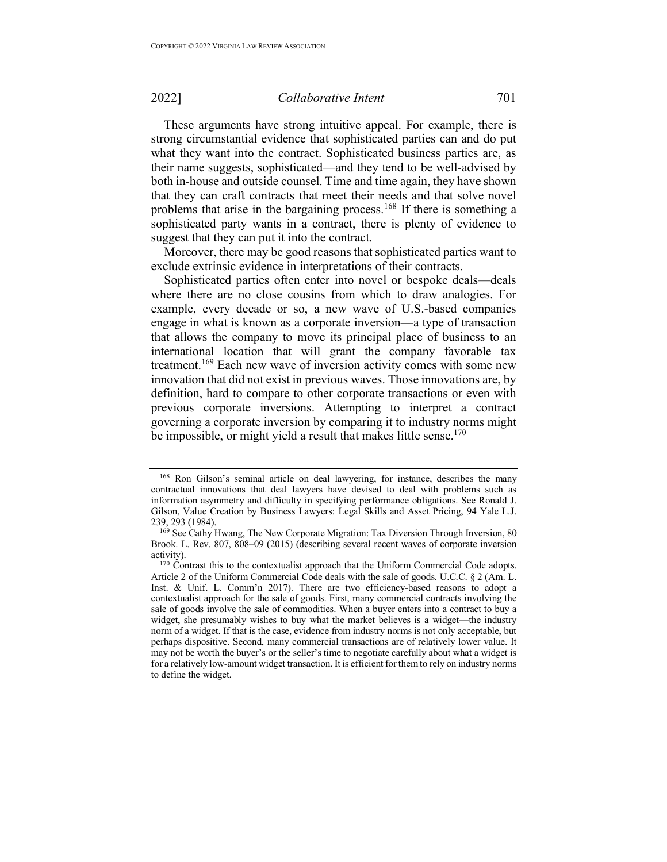These arguments have strong intuitive appeal. For example, there is strong circumstantial evidence that sophisticated parties can and do put what they want into the contract. Sophisticated business parties are, as their name suggests, sophisticated—and they tend to be well-advised by both in-house and outside counsel. Time and time again, they have shown that they can craft contracts that meet their needs and that solve novel problems that arise in the bargaining process.<sup>168</sup> If there is something a sophisticated party wants in a contract, there is plenty of evidence to suggest that they can put it into the contract.

Moreover, there may be good reasons that sophisticated parties want to exclude extrinsic evidence in interpretations of their contracts.

Sophisticated parties often enter into novel or bespoke deals—deals where there are no close cousins from which to draw analogies. For example, every decade or so, a new wave of U.S.-based companies engage in what is known as a corporate inversion—a type of transaction that allows the company to move its principal place of business to an international location that will grant the company favorable tax treatment.<sup>169</sup> Each new wave of inversion activity comes with some new innovation that did not exist in previous waves. Those innovations are, by definition, hard to compare to other corporate transactions or even with previous corporate inversions. Attempting to interpret a contract governing a corporate inversion by comparing it to industry norms might be impossible, or might yield a result that makes little sense.<sup>170</sup>

<sup>168</sup> Ron Gilson's seminal article on deal lawyering, for instance, describes the many contractual innovations that deal lawyers have devised to deal with problems such as information asymmetry and difficulty in specifying performance obligations. See Ronald J. Gilson, Value Creation by Business Lawyers: Legal Skills and Asset Pricing, 94 Yale L.J. 239, 293 (1984).<br><sup>169</sup> See Cathy Hwang, The New Corporate Migration: Tax Diversion Through Inversion, 80

Brook. L. Rev. 807, 808–09 (2015) (describing several recent waves of corporate inversion activity).  $170$  Contrast this to the contextualist approach that the Uniform Commercial Code adopts.

Article 2 of the Uniform Commercial Code deals with the sale of goods. U.C.C. § 2 (Am. L. Inst. & Unif. L. Comm'n 2017). There are two efficiency-based reasons to adopt a contextualist approach for the sale of goods. First, many commercial contracts involving the sale of goods involve the sale of commodities. When a buyer enters into a contract to buy a widget, she presumably wishes to buy what the market believes is a widget—the industry norm of a widget. If that is the case, evidence from industry norms is not only acceptable, but perhaps dispositive. Second, many commercial transactions are of relatively lower value. It may not be worth the buyer's or the seller's time to negotiate carefully about what a widget is for a relatively low-amount widget transaction. It is efficient for them to rely on industry norms to define the widget.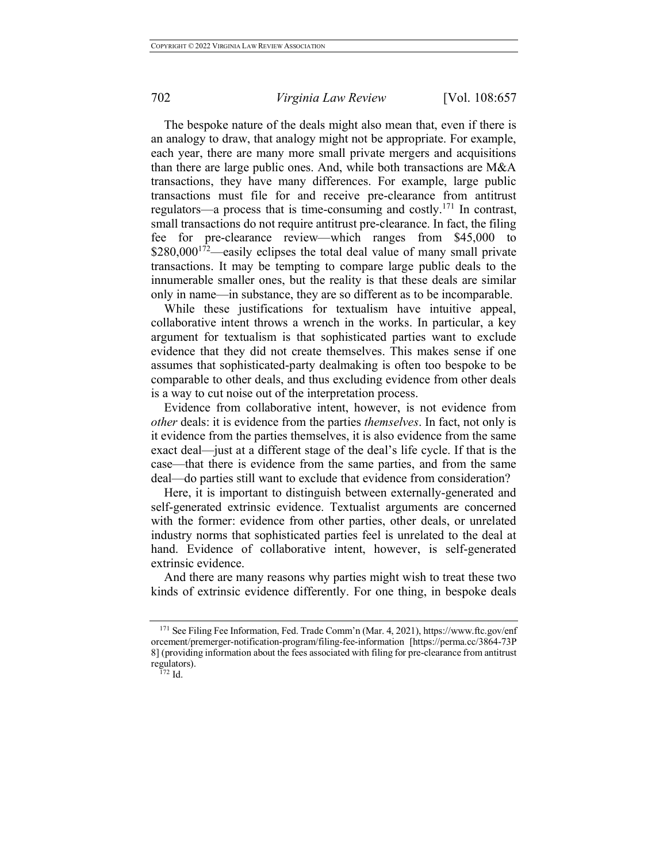The bespoke nature of the deals might also mean that, even if there is an analogy to draw, that analogy might not be appropriate. For example, each year, there are many more small private mergers and acquisitions than there are large public ones. And, while both transactions are M&A transactions, they have many differences. For example, large public transactions must file for and receive pre-clearance from antitrust regulators—a process that is time-consuming and costly.<sup>171</sup> In contrast, small transactions do not require antitrust pre-clearance. In fact, the filing fee for pre-clearance review—which ranges from \$45,000 to  $$280,000^{172}$ —easily eclipses the total deal value of many small private transactions. It may be tempting to compare large public deals to the innumerable smaller ones, but the reality is that these deals are similar only in name—in substance, they are so different as to be incomparable.

While these justifications for textualism have intuitive appeal, collaborative intent throws a wrench in the works. In particular, a key argument for textualism is that sophisticated parties want to exclude evidence that they did not create themselves. This makes sense if one assumes that sophisticated-party dealmaking is often too bespoke to be comparable to other deals, and thus excluding evidence from other deals is a way to cut noise out of the interpretation process.

Evidence from collaborative intent, however, is not evidence from *other* deals: it is evidence from the parties *themselves*. In fact, not only is it evidence from the parties themselves, it is also evidence from the same exact deal—just at a different stage of the deal's life cycle. If that is the case—that there is evidence from the same parties, and from the same deal—do parties still want to exclude that evidence from consideration?

Here, it is important to distinguish between externally-generated and self-generated extrinsic evidence. Textualist arguments are concerned with the former: evidence from other parties, other deals, or unrelated industry norms that sophisticated parties feel is unrelated to the deal at hand. Evidence of collaborative intent, however, is self-generated extrinsic evidence.

And there are many reasons why parties might wish to treat these two kinds of extrinsic evidence differently. For one thing, in bespoke deals

<sup>171</sup> See Filing Fee Information, Fed. Trade Comm'n (Mar. 4, 2021), https://www.ftc.gov/enf orcement/premerger-notification-program/filing-fee-information [https://perma.cc/3864-73P 8] (providing information about the fees associated with filing for pre-clearance from antitrust regulators).<br> $^{172}$  Id.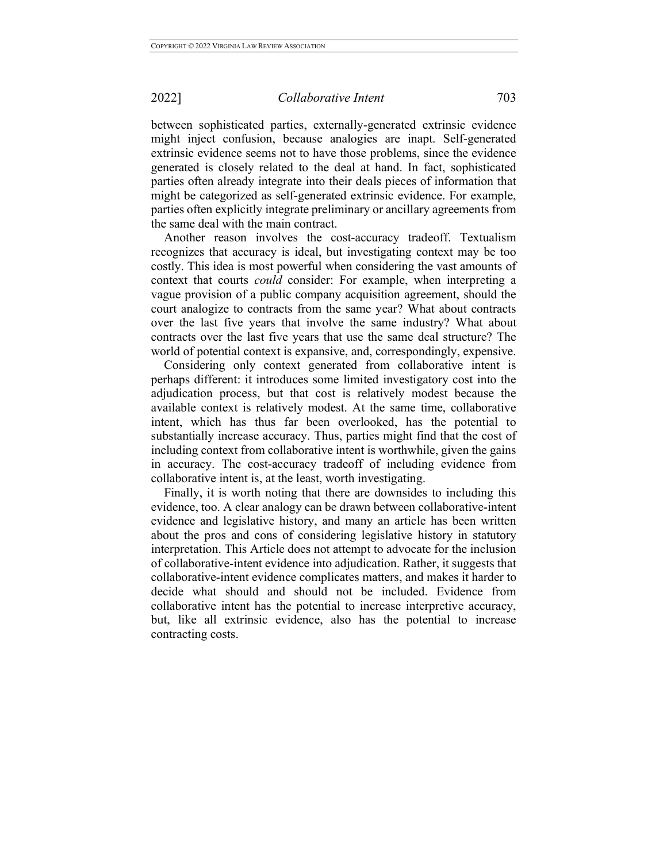between sophisticated parties, externally-generated extrinsic evidence might inject confusion, because analogies are inapt. Self-generated extrinsic evidence seems not to have those problems, since the evidence generated is closely related to the deal at hand. In fact, sophisticated parties often already integrate into their deals pieces of information that might be categorized as self-generated extrinsic evidence. For example, parties often explicitly integrate preliminary or ancillary agreements from the same deal with the main contract.

Another reason involves the cost-accuracy tradeoff. Textualism recognizes that accuracy is ideal, but investigating context may be too costly. This idea is most powerful when considering the vast amounts of context that courts *could* consider: For example, when interpreting a vague provision of a public company acquisition agreement, should the court analogize to contracts from the same year? What about contracts over the last five years that involve the same industry? What about contracts over the last five years that use the same deal structure? The world of potential context is expansive, and, correspondingly, expensive.

Considering only context generated from collaborative intent is perhaps different: it introduces some limited investigatory cost into the adjudication process, but that cost is relatively modest because the available context is relatively modest. At the same time, collaborative intent, which has thus far been overlooked, has the potential to substantially increase accuracy. Thus, parties might find that the cost of including context from collaborative intent is worthwhile, given the gains in accuracy. The cost-accuracy tradeoff of including evidence from collaborative intent is, at the least, worth investigating.

Finally, it is worth noting that there are downsides to including this evidence, too. A clear analogy can be drawn between collaborative-intent evidence and legislative history, and many an article has been written about the pros and cons of considering legislative history in statutory interpretation. This Article does not attempt to advocate for the inclusion of collaborative-intent evidence into adjudication. Rather, it suggests that collaborative-intent evidence complicates matters, and makes it harder to decide what should and should not be included. Evidence from collaborative intent has the potential to increase interpretive accuracy, but, like all extrinsic evidence, also has the potential to increase contracting costs.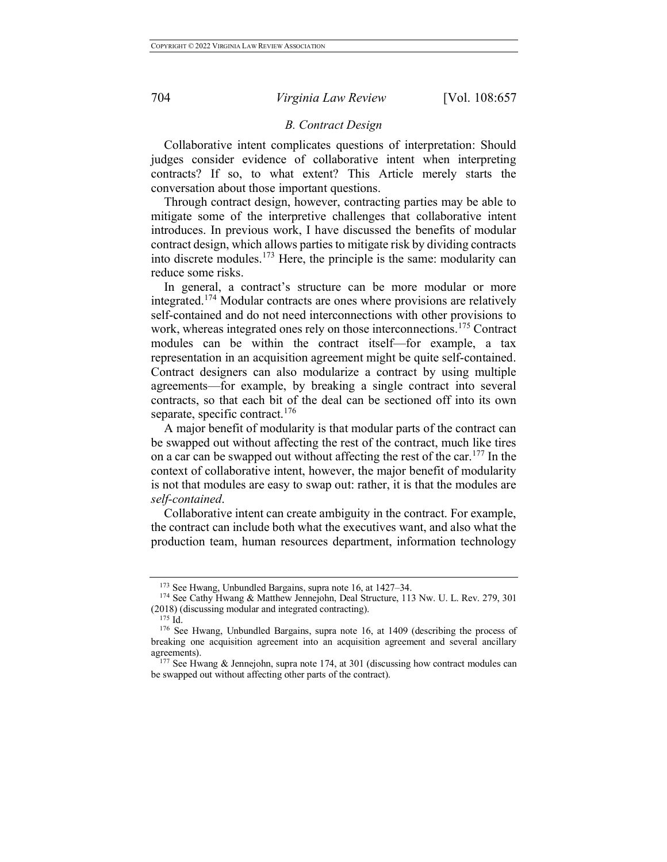# *B. Contract Design*

Collaborative intent complicates questions of interpretation: Should judges consider evidence of collaborative intent when interpreting contracts? If so, to what extent? This Article merely starts the conversation about those important questions.

Through contract design, however, contracting parties may be able to mitigate some of the interpretive challenges that collaborative intent introduces. In previous work, I have discussed the benefits of modular contract design, which allows parties to mitigate risk by dividing contracts into discrete modules.<sup>173</sup> Here, the principle is the same: modularity can reduce some risks.

In general, a contract's structure can be more modular or more integrated.<sup>174</sup> Modular contracts are ones where provisions are relatively self-contained and do not need interconnections with other provisions to work, whereas integrated ones rely on those interconnections.<sup>175</sup> Contract modules can be within the contract itself—for example, a tax representation in an acquisition agreement might be quite self-contained. Contract designers can also modularize a contract by using multiple agreements—for example, by breaking a single contract into several contracts, so that each bit of the deal can be sectioned off into its own separate, specific contract.<sup>176</sup>

A major benefit of modularity is that modular parts of the contract can be swapped out without affecting the rest of the contract, much like tires on a car can be swapped out without affecting the rest of the car.<sup>177</sup> In the context of collaborative intent, however, the major benefit of modularity is not that modules are easy to swap out: rather, it is that the modules are *self-contained*.

Collaborative intent can create ambiguity in the contract. For example, the contract can include both what the executives want, and also what the production team, human resources department, information technology

<sup>&</sup>lt;sup>173</sup> See Hwang, Unbundled Bargains, supra note 16, at 1427–34.<br><sup>174</sup> See Cathy Hwang & Matthew Jennejohn, Deal Structure, 113 Nw. U. L. Rev. 279, 301 (2018) (discussing modular and integrated contracting).

<sup>&</sup>lt;sup>175</sup> Id. <sup>176</sup> See Hwang, Unbundled Bargains, supra note 16, at 1409 (describing the process of breaking one acquisition agreement into an acquisition agreement and several ancillary agreements).

 $177$  See Hwang & Jennejohn, supra note 174, at 301 (discussing how contract modules can be swapped out without affecting other parts of the contract).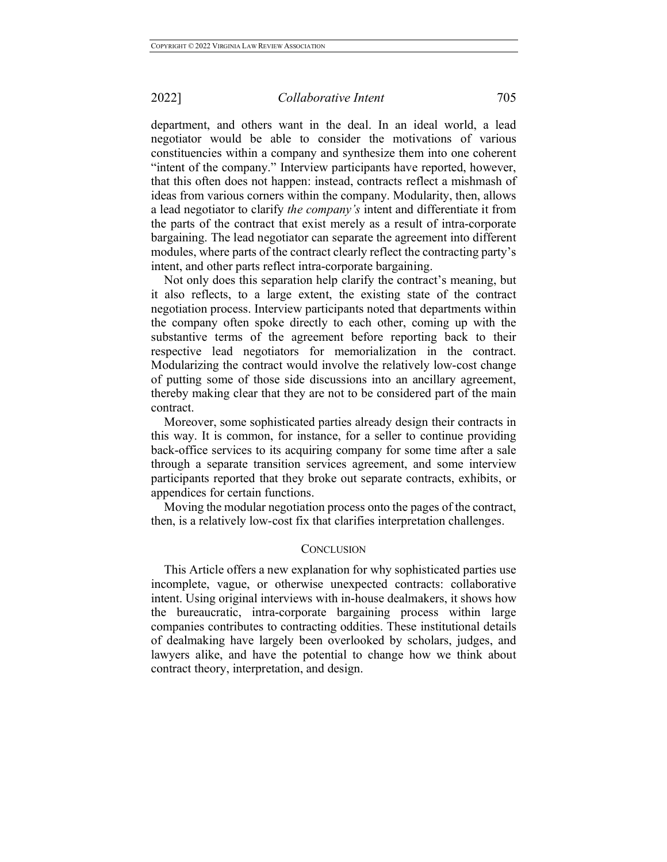department, and others want in the deal. In an ideal world, a lead negotiator would be able to consider the motivations of various constituencies within a company and synthesize them into one coherent "intent of the company." Interview participants have reported, however, that this often does not happen: instead, contracts reflect a mishmash of ideas from various corners within the company. Modularity, then, allows a lead negotiator to clarify *the company's* intent and differentiate it from the parts of the contract that exist merely as a result of intra-corporate bargaining. The lead negotiator can separate the agreement into different modules, where parts of the contract clearly reflect the contracting party's intent, and other parts reflect intra-corporate bargaining.

Not only does this separation help clarify the contract's meaning, but it also reflects, to a large extent, the existing state of the contract negotiation process. Interview participants noted that departments within the company often spoke directly to each other, coming up with the substantive terms of the agreement before reporting back to their respective lead negotiators for memorialization in the contract. Modularizing the contract would involve the relatively low-cost change of putting some of those side discussions into an ancillary agreement, thereby making clear that they are not to be considered part of the main contract.

Moreover, some sophisticated parties already design their contracts in this way. It is common, for instance, for a seller to continue providing back-office services to its acquiring company for some time after a sale through a separate transition services agreement, and some interview participants reported that they broke out separate contracts, exhibits, or appendices for certain functions.

Moving the modular negotiation process onto the pages of the contract, then, is a relatively low-cost fix that clarifies interpretation challenges.

### **CONCLUSION**

This Article offers a new explanation for why sophisticated parties use incomplete, vague, or otherwise unexpected contracts: collaborative intent. Using original interviews with in-house dealmakers, it shows how the bureaucratic, intra-corporate bargaining process within large companies contributes to contracting oddities. These institutional details of dealmaking have largely been overlooked by scholars, judges, and lawyers alike, and have the potential to change how we think about contract theory, interpretation, and design.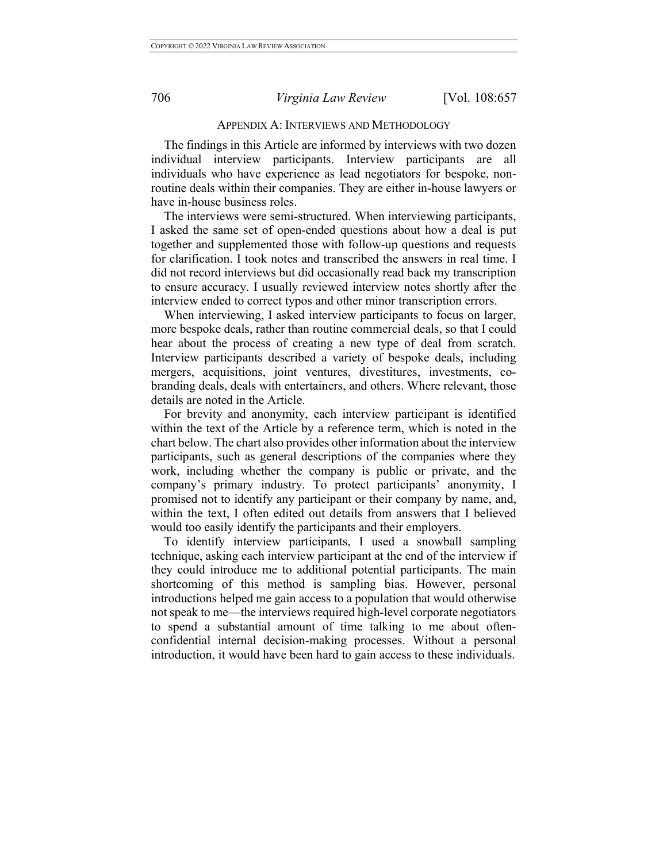# APPENDIX A: INTERVIEWS AND METHODOLOGY

The findings in this Article are informed by interviews with two dozen individual interview participants. Interview participants are all individuals who have experience as lead negotiators for bespoke, nonroutine deals within their companies. They are either in-house lawyers or have in-house business roles.

The interviews were semi-structured. When interviewing participants, I asked the same set of open-ended questions about how a deal is put together and supplemented those with follow-up questions and requests for clarification. I took notes and transcribed the answers in real time. I did not record interviews but did occasionally read back my transcription to ensure accuracy. I usually reviewed interview notes shortly after the interview ended to correct typos and other minor transcription errors.

When interviewing, I asked interview participants to focus on larger, more bespoke deals, rather than routine commercial deals, so that I could hear about the process of creating a new type of deal from scratch. Interview participants described a variety of bespoke deals, including mergers, acquisitions, joint ventures, divestitures, investments, cobranding deals, deals with entertainers, and others. Where relevant, those details are noted in the Article.

For brevity and anonymity, each interview participant is identified within the text of the Article by a reference term, which is noted in the chart below. The chart also provides other information about the interview participants, such as general descriptions of the companies where they work, including whether the company is public or private, and the company's primary industry. To protect participants' anonymity, I promised not to identify any participant or their company by name, and, within the text, I often edited out details from answers that I believed would too easily identify the participants and their employers.

To identify interview participants, I used a snowball sampling technique, asking each interview participant at the end of the interview if they could introduce me to additional potential participants. The main shortcoming of this method is sampling bias. However, personal introductions helped me gain access to a population that would otherwise not speak to me—the interviews required high-level corporate negotiators to spend a substantial amount of time talking to me about oftenconfidential internal decision-making processes. Without a personal introduction, it would have been hard to gain access to these individuals.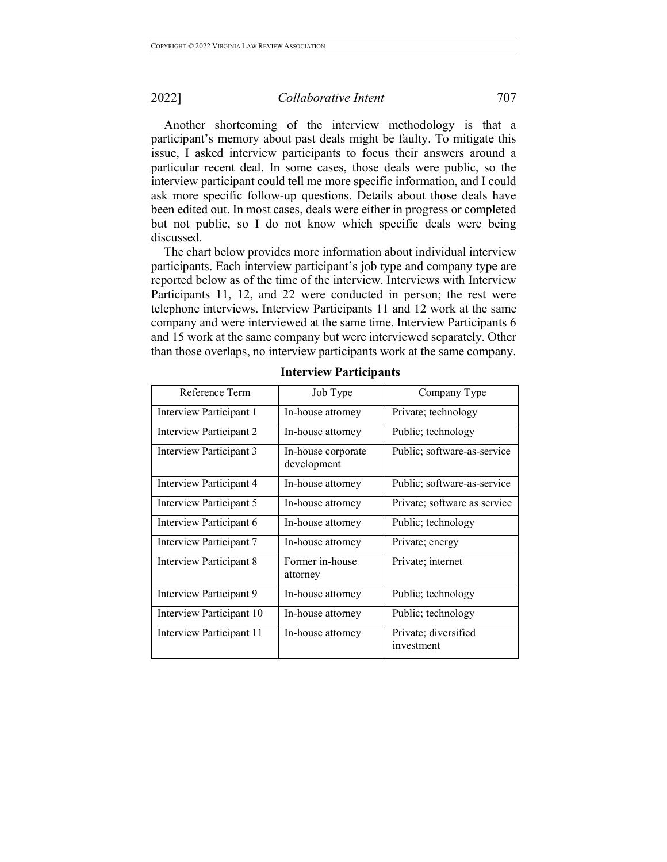Another shortcoming of the interview methodology is that a participant's memory about past deals might be faulty. To mitigate this issue, I asked interview participants to focus their answers around a particular recent deal. In some cases, those deals were public, so the interview participant could tell me more specific information, and I could ask more specific follow-up questions. Details about those deals have been edited out. In most cases, deals were either in progress or completed but not public, so I do not know which specific deals were being discussed.

The chart below provides more information about individual interview participants. Each interview participant's job type and company type are reported below as of the time of the interview. Interviews with Interview Participants 11, 12, and 22 were conducted in person; the rest were telephone interviews. Interview Participants 11 and 12 work at the same company and were interviewed at the same time. Interview Participants 6 and 15 work at the same company but were interviewed separately. Other than those overlaps, no interview participants work at the same company.

| Reference Term           | Job Type                          | Company Type                       |
|--------------------------|-----------------------------------|------------------------------------|
| Interview Participant 1  | In-house attorney                 | Private; technology                |
| Interview Participant 2  | In-house attorney                 | Public; technology                 |
| Interview Participant 3  | In-house corporate<br>development | Public; software-as-service        |
| Interview Participant 4  | In-house attorney                 | Public; software-as-service        |
| Interview Participant 5  | In-house attorney                 | Private; software as service       |
| Interview Participant 6  | In-house attorney                 | Public; technology                 |
| Interview Participant 7  | In-house attorney                 | Private; energy                    |
| Interview Participant 8  | Former in-house<br>attorney       | Private; internet                  |
| Interview Participant 9  | In-house attorney                 | Public; technology                 |
| Interview Participant 10 | In-house attorney                 | Public; technology                 |
| Interview Participant 11 | In-house attorney                 | Private; diversified<br>investment |

### **Interview Participants**